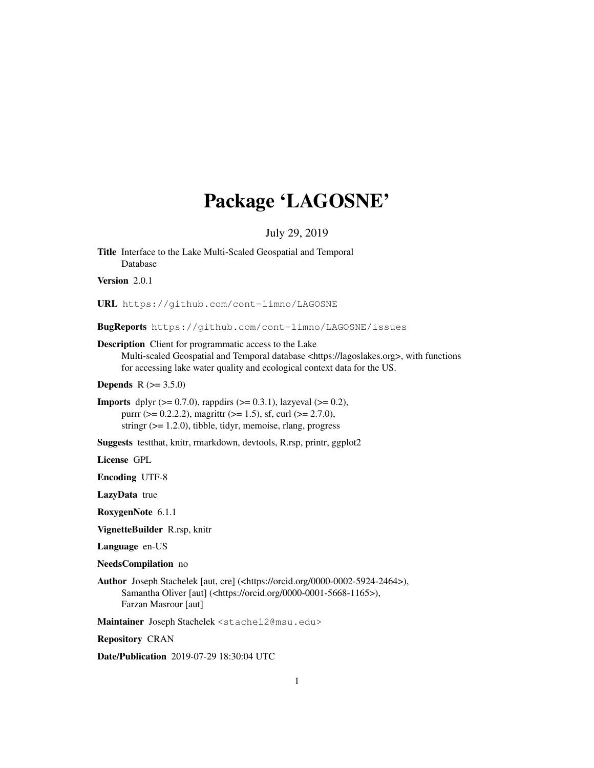# Package 'LAGOSNE'

# July 29, 2019

Title Interface to the Lake Multi-Scaled Geospatial and Temporal Database Version 2.0.1 URL https://github.com/cont-limno/LAGOSNE

BugReports https://github.com/cont-limno/LAGOSNE/issues

Description Client for programmatic access to the Lake

Multi-scaled Geospatial and Temporal database <https://lagoslakes.org>, with functions for accessing lake water quality and ecological context data for the US.

**Depends**  $R (= 3.5.0)$ 

**Imports** dplyr  $(>= 0.7.0)$ , rappdirs  $(>= 0.3.1)$ , lazyeval  $(>= 0.2)$ , purrr ( $> = 0.2.2.2$ ), magrittr ( $> = 1.5$ ), sf, curl ( $> = 2.7.0$ ), stringr  $(>= 1.2.0)$ , tibble, tidyr, memoise, rlang, progress

Suggests testthat, knitr, rmarkdown, devtools, R.rsp, printr, ggplot2

License GPL

Encoding UTF-8

LazyData true

RoxygenNote 6.1.1

VignetteBuilder R.rsp, knitr

Language en-US

NeedsCompilation no

Author Joseph Stachelek [aut, cre] (<https://orcid.org/0000-0002-5924-2464>), Samantha Oliver [aut] (<https://orcid.org/0000-0001-5668-1165>), Farzan Masrour [aut]

Maintainer Joseph Stachelek <stachel2@msu.edu>

Repository CRAN

Date/Publication 2019-07-29 18:30:04 UTC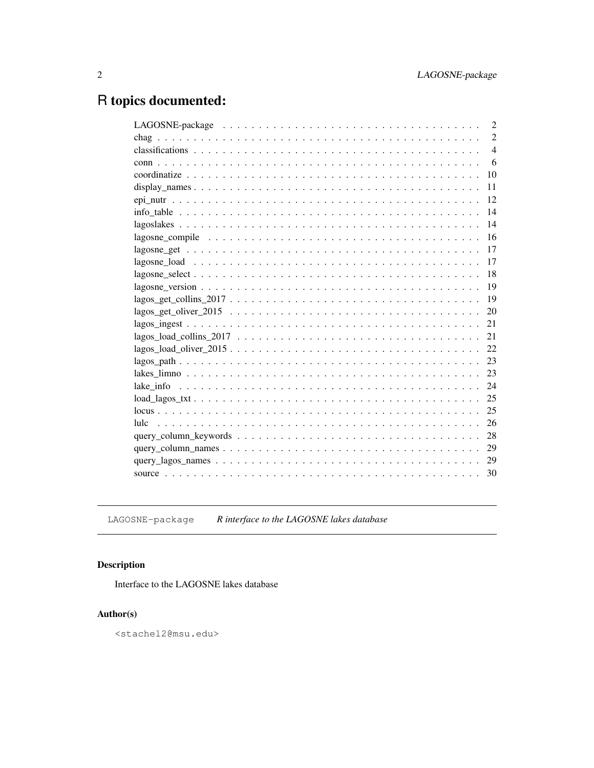# R topics documented:

LAGOSNE-package *R interface to the LAGOSNE lakes database*

# Description

Interface to the LAGOSNE lakes database

# Author(s)

<stachel2@msu.edu>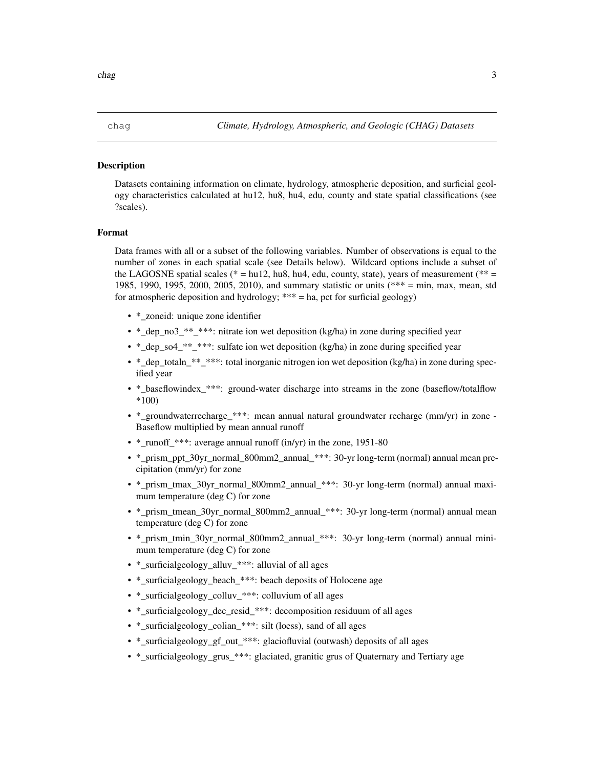Datasets containing information on climate, hydrology, atmospheric deposition, and surficial geology characteristics calculated at hu12, hu8, hu4, edu, county and state spatial classifications (see ?scales).

#### Format

Data frames with all or a subset of the following variables. Number of observations is equal to the number of zones in each spatial scale (see Details below). Wildcard options include a subset of the LAGOSNE spatial scales ( $* = h\nu/2$ ,  $h\nu/3$ ,  $h\nu/4$ , edu, county, state), years of measurement ( $** =$ 1985, 1990, 1995, 2000, 2005, 2010), and summary statistic or units (\*\*\* = min, max, mean, std for atmospheric deposition and hydrology; \*\*\* = ha, pct for surficial geology)

- \* zoneid: unique zone identifier
- \*\_dep\_no3\_\*\*\_\*\*\*: nitrate ion wet deposition (kg/ha) in zone during specified year
- \*\_dep\_so4\_\*\*\_\*\*\*: sulfate ion wet deposition (kg/ha) in zone during specified year
- \* dep\_totaln\_\*\*\_\*\*\*: total inorganic nitrogen ion wet deposition (kg/ha) in zone during specified year
- \* baseflowindex \*\*\*: ground-water discharge into streams in the zone (baseflow/totalflow \*100)
- \*\_groundwaterrecharge\_\*\*\*: mean annual natural groundwater recharge (mm/yr) in zone Baseflow multiplied by mean annual runoff
- \* runoff \*\*\*: average annual runoff (in/yr) in the zone, 1951-80
- \* prism\_ppt\_30yr\_normal\_800mm2\_annual\_\*\*\*: 30-yr long-term (normal) annual mean precipitation (mm/yr) for zone
- \*\_prism\_tmax\_30yr\_normal\_800mm2\_annual\_\*\*\*: 30-yr long-term (normal) annual maximum temperature (deg C) for zone
- \*\_prism\_tmean\_30yr\_normal\_800mm2\_annual\_\*\*\*: 30-yr long-term (normal) annual mean temperature (deg C) for zone
- \*\_prism\_tmin\_30yr\_normal\_800mm2\_annual\_\*\*\*: 30-yr long-term (normal) annual minimum temperature (deg C) for zone
- \*\_surficialgeology\_alluv\_\*\*\*: alluvial of all ages
- \* surficialgeology\_beach\_\*\*\*: beach deposits of Holocene age
- \* surficialgeology\_colluv\_\*\*\*: colluvium of all ages
- \*\_surficialgeology\_dec\_resid\_\*\*\*: decomposition residuum of all ages
- \*\_surficialgeology\_eolian\_\*\*\*: silt (loess), sand of all ages
- \* surficialgeology gf out \*\*\*: glaciofluvial (outwash) deposits of all ages
- \*\_surficialgeology\_grus\_\*\*\*: glaciated, granitic grus of Quaternary and Tertiary age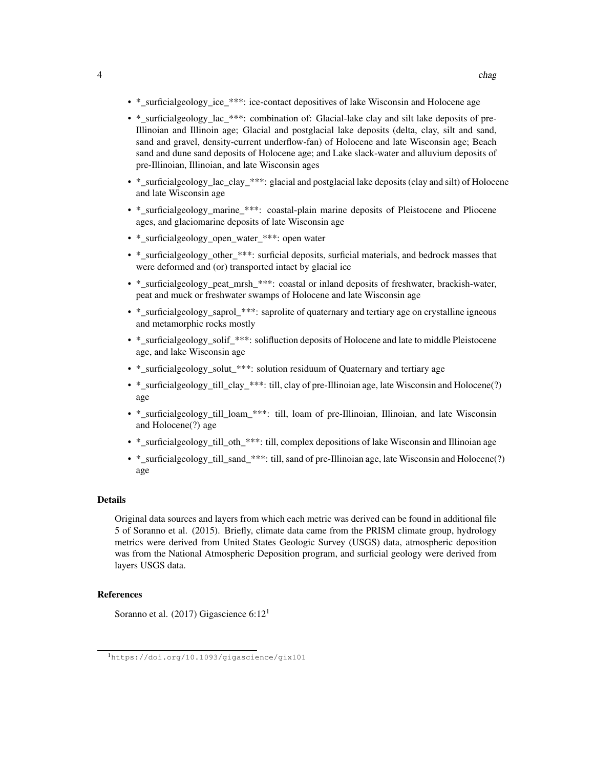- \*\_surficialgeology\_ice\_\*\*\*: ice-contact depositives of lake Wisconsin and Holocene age
- \* surficialgeology lac \*\*\*: combination of: Glacial-lake clay and silt lake deposits of pre-Illinoian and Illinoin age; Glacial and postglacial lake deposits (delta, clay, silt and sand, sand and gravel, density-current underflow-fan) of Holocene and late Wisconsin age; Beach sand and dune sand deposits of Holocene age; and Lake slack-water and alluvium deposits of pre-Illinoian, Illinoian, and late Wisconsin ages
- \*\_surficialgeology\_lac\_clay\_\*\*\*: glacial and postglacial lake deposits (clay and silt) of Holocene and late Wisconsin age
- \* surficialgeology marine \*\*\*: coastal-plain marine deposits of Pleistocene and Pliocene ages, and glaciomarine deposits of late Wisconsin age
- \* surficialgeology open water \*\*\*: open water
- \*\_surficialgeology\_other\_\*\*\*: surficial deposits, surficial materials, and bedrock masses that were deformed and (or) transported intact by glacial ice
- \*\_surficialgeology\_peat\_mrsh\_\*\*\*: coastal or inland deposits of freshwater, brackish-water, peat and muck or freshwater swamps of Holocene and late Wisconsin age
- \* surficialgeology saprol \*\*\*: saprolite of quaternary and tertiary age on crystalline igneous and metamorphic rocks mostly
- \* surficialgeology solif \*\*\*: solifluction deposits of Holocene and late to middle Pleistocene age, and lake Wisconsin age
- \*\_surficialgeology\_solut\_\*\*\*: solution residuum of Quaternary and tertiary age
- \* surficialgeology till clay \*\*\*: till, clay of pre-Illinoian age, late Wisconsin and Holocene(?) age
- \* surficialgeology till loam \*\*\*: till, loam of pre-Illinoian, Illinoian, and late Wisconsin and Holocene(?) age
- \*\_surficialgeology\_till\_oth\_\*\*\*: till, complex depositions of lake Wisconsin and Illinoian age
- \*\_surficialgeology\_till\_sand\_\*\*\*: till, sand of pre-Illinoian age, late Wisconsin and Holocene(?) age

#### Details

Original data sources and layers from which each metric was derived can be found in additional file 5 of Soranno et al. (2015). Briefly, climate data came from the PRISM climate group, hydrology metrics were derived from United States Geologic Survey (USGS) data, atmospheric deposition was from the National Atmospheric Deposition program, and surficial geology were derived from layers USGS data.

#### References

Soranno et al. (2017) Gigascience 6:12<sup>1</sup>

<sup>1</sup>https://doi.org/10.1093/gigascience/gix101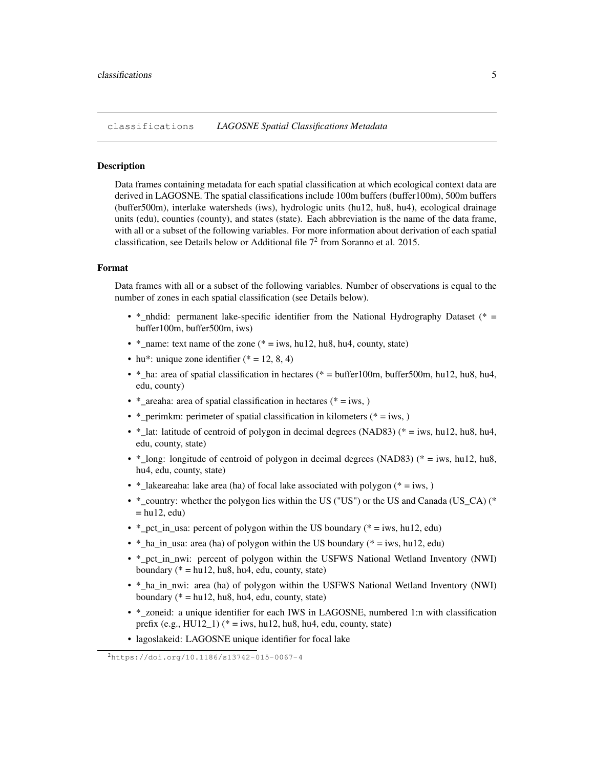classifications *LAGOSNE Spatial Classifications Metadata*

#### **Description**

Data frames containing metadata for each spatial classification at which ecological context data are derived in LAGOSNE. The spatial classifications include 100m buffers (buffer100m), 500m buffers (buffer500m), interlake watersheds (iws), hydrologic units (hu12, hu8, hu4), ecological drainage units (edu), counties (county), and states (state). Each abbreviation is the name of the data frame, with all or a subset of the following variables. For more information about derivation of each spatial classification, see Details below or Additional file  $7<sup>2</sup>$  from Soranno et al. 2015.

#### Format

Data frames with all or a subset of the following variables. Number of observations is equal to the number of zones in each spatial classification (see Details below).

- \* nhdid: permanent lake-specific identifier from the National Hydrography Dataset (\* = buffer100m, buffer500m, iws)
- \* name: text name of the zone (\* = iws, hu12, hu8, hu4, county, state)
- hu\*: unique zone identifier  $(* = 12, 8, 4)$
- \* ha: area of spatial classification in hectares (\* = buffer100m, buffer500m, hu12, hu8, hu4, edu, county)
- \* areaha: area of spatial classification in hectares (\* = iws, )
- \*\_perimkm: perimeter of spatial classification in kilometers (\* = iws, )
- \*\_lat: latitude of centroid of polygon in decimal degrees (NAD83) (\* = iws, hu12, hu8, hu4, edu, county, state)
- \*\_long: longitude of centroid of polygon in decimal degrees (NAD83) (\* = iws, hu12, hu8, hu4, edu, county, state)
- \*\_lakeareaha: lake area (ha) of focal lake associated with polygon (\* = iws, )
- \*\_country: whether the polygon lies within the US ("US") or the US and Canada (US\_CA) (\*  $=$  hu12, edu)
- \*\_pct\_in\_usa: percent of polygon within the US boundary (\* = iws, hu12, edu)
- \*\_ha\_in\_usa: area (ha) of polygon within the US boundary (\* = iws, hu12, edu)
- \* pct in nwi: percent of polygon within the USFWS National Wetland Inventory (NWI) boundary ( $* = h$ u12, hu8, hu4, edu, county, state)
- \*\_ha\_in\_nwi: area (ha) of polygon within the USFWS National Wetland Inventory (NWI) boundary ( $* = h$ u12, hu8, hu4, edu, county, state)
- \* zoneid: a unique identifier for each IWS in LAGOSNE, numbered 1:n with classification prefix (e.g.,  $HU12_1$ ) (\* = iws, hu12, hu8, hu4, edu, county, state)
- lagoslakeid: LAGOSNE unique identifier for focal lake

<sup>2</sup>https://doi.org/10.1186/s13742-015-0067-4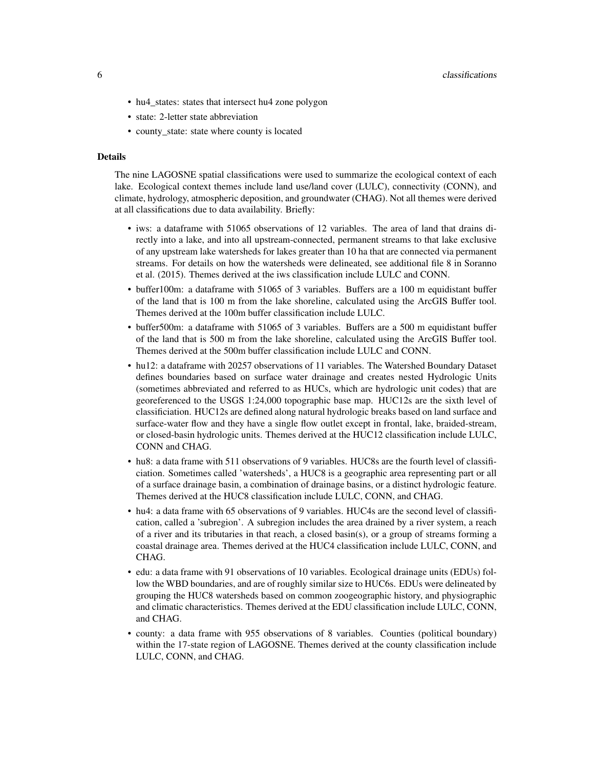- hu4\_states: states that intersect hu4 zone polygon
- state: 2-letter state abbreviation
- county\_state: state where county is located

#### Details

The nine LAGOSNE spatial classifications were used to summarize the ecological context of each lake. Ecological context themes include land use/land cover (LULC), connectivity (CONN), and climate, hydrology, atmospheric deposition, and groundwater (CHAG). Not all themes were derived at all classifications due to data availability. Briefly:

- iws: a dataframe with 51065 observations of 12 variables. The area of land that drains directly into a lake, and into all upstream-connected, permanent streams to that lake exclusive of any upstream lake watersheds for lakes greater than 10 ha that are connected via permanent streams. For details on how the watersheds were delineated, see additional file 8 in Soranno et al. (2015). Themes derived at the iws classification include LULC and CONN.
- buffer100m: a dataframe with 51065 of 3 variables. Buffers are a 100 m equidistant buffer of the land that is 100 m from the lake shoreline, calculated using the ArcGIS Buffer tool. Themes derived at the 100m buffer classification include LULC.
- buffer500m: a dataframe with 51065 of 3 variables. Buffers are a 500 m equidistant buffer of the land that is 500 m from the lake shoreline, calculated using the ArcGIS Buffer tool. Themes derived at the 500m buffer classification include LULC and CONN.
- hu12: a dataframe with 20257 observations of 11 variables. The Watershed Boundary Dataset defines boundaries based on surface water drainage and creates nested Hydrologic Units (sometimes abbreviated and referred to as HUCs, which are hydrologic unit codes) that are georeferenced to the USGS 1:24,000 topographic base map. HUC12s are the sixth level of classificiation. HUC12s are defined along natural hydrologic breaks based on land surface and surface-water flow and they have a single flow outlet except in frontal, lake, braided-stream, or closed-basin hydrologic units. Themes derived at the HUC12 classification include LULC, CONN and CHAG.
- hu8: a data frame with 511 observations of 9 variables. HUC8s are the fourth level of classificiation. Sometimes called 'watersheds', a HUC8 is a geographic area representing part or all of a surface drainage basin, a combination of drainage basins, or a distinct hydrologic feature. Themes derived at the HUC8 classification include LULC, CONN, and CHAG.
- hu4: a data frame with 65 observations of 9 variables. HUC4s are the second level of classification, called a 'subregion'. A subregion includes the area drained by a river system, a reach of a river and its tributaries in that reach, a closed basin(s), or a group of streams forming a coastal drainage area. Themes derived at the HUC4 classification include LULC, CONN, and CHAG.
- edu: a data frame with 91 observations of 10 variables. Ecological drainage units (EDUs) follow the WBD boundaries, and are of roughly similar size to HUC6s. EDUs were delineated by grouping the HUC8 watersheds based on common zoogeographic history, and physiographic and climatic characteristics. Themes derived at the EDU classification include LULC, CONN, and CHAG.
- county: a data frame with 955 observations of 8 variables. Counties (political boundary) within the 17-state region of LAGOSNE. Themes derived at the county classification include LULC, CONN, and CHAG.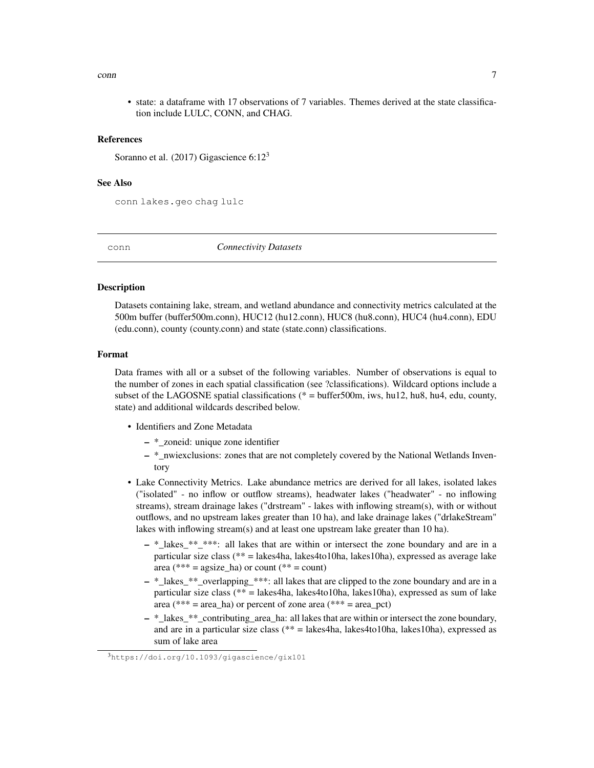#### $\epsilon$  conn  $\epsilon$  7

• state: a dataframe with 17 observations of 7 variables. Themes derived at the state classification include LULC, CONN, and CHAG.

#### References

Soranno et al. (2017) Gigascience  $6:12<sup>3</sup>$ 

#### See Also

conn lakes.geo chag lulc

conn *Connectivity Datasets*

#### **Description**

Datasets containing lake, stream, and wetland abundance and connectivity metrics calculated at the 500m buffer (buffer500m.conn), HUC12 (hu12.conn), HUC8 (hu8.conn), HUC4 (hu4.conn), EDU (edu.conn), county (county.conn) and state (state.conn) classifications.

#### Format

Data frames with all or a subset of the following variables. Number of observations is equal to the number of zones in each spatial classification (see ?classifications). Wildcard options include a subset of the LAGOSNE spatial classifications ( $* =$  buffer500m, iws, hu12, hu8, hu4, edu, county, state) and additional wildcards described below.

- Identifiers and Zone Metadata
	- \*\_zoneid: unique zone identifier
	- \*\_nwiexclusions: zones that are not completely covered by the National Wetlands Inventory
- Lake Connectivity Metrics. Lake abundance metrics are derived for all lakes, isolated lakes ("isolated" - no inflow or outflow streams), headwater lakes ("headwater" - no inflowing streams), stream drainage lakes ("drstream" - lakes with inflowing stream(s), with or without outflows, and no upstream lakes greater than 10 ha), and lake drainage lakes ("drlakeStream" lakes with inflowing stream(s) and at least one upstream lake greater than 10 ha).
	- \*\_lakes\_\*\*\_\*\*\*: all lakes that are within or intersect the zone boundary and are in a particular size class (\*\* = lakes4ha, lakes4to10ha, lakes10ha), expressed as average lake area (\*\*\* = agsize ha) or count (\*\* = count)
	- $-$  \* lakes \*\* overlapping \*\*\*: all lakes that are clipped to the zone boundary and are in a particular size class ( $** =$  lakes4ha, lakes4to10ha, lakes10ha), expressed as sum of lake area (\*\*\* = area ha) or percent of zone area (\*\*\* = area pct)
	- \*\_lakes\_\*\*\_contributing\_area\_ha: all lakes that are within or intersect the zone boundary, and are in a particular size class (\*\* = lakes4ha, lakes4to10ha, lakes10ha), expressed as sum of lake area

<sup>3</sup>https://doi.org/10.1093/gigascience/gix101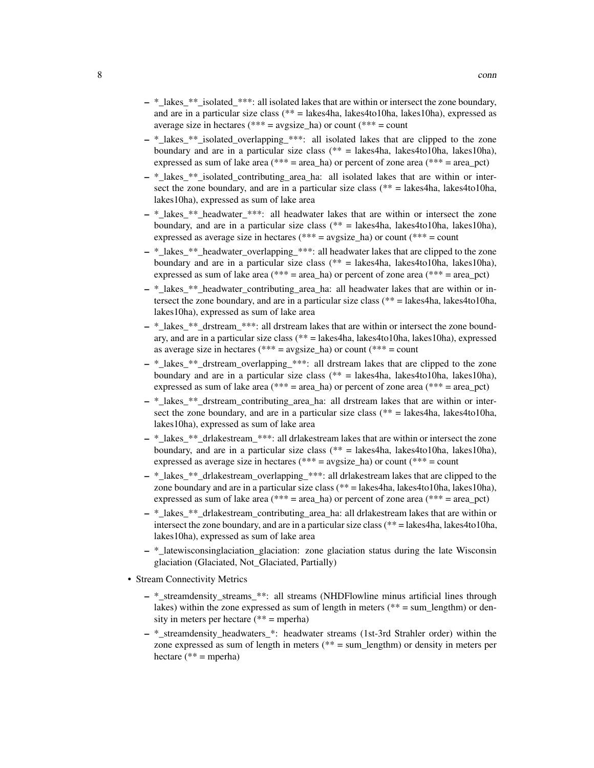- \*\_lakes\_\*\*\_isolated\_\*\*\*: all isolated lakes that are within or intersect the zone boundary, and are in a particular size class  $(** =$  lakes4ha, lakes4to10ha, lakes10ha), expressed as average size in hectares (\*\*\* = avgsize ha) or count (\*\*\* = count
- \*\_lakes\_\*\*\_isolated\_overlapping\_\*\*\*: all isolated lakes that are clipped to the zone boundary and are in a particular size class ( $** =$  lakes4ha, lakes4to10ha, lakes10ha), expressed as sum of lake area (\*\*\* = area\_ha) or percent of zone area (\*\*\* =  $area_pct$ )
- \*\_lakes\_\*\*\_isolated\_contributing\_area\_ha: all isolated lakes that are within or intersect the zone boundary, and are in a particular size class ( $**$  = lakes4ha, lakes4to10ha, lakes10ha), expressed as sum of lake area
- \*\_lakes\_\*\*\_headwater\_\*\*\*: all headwater lakes that are within or intersect the zone boundary, and are in a particular size class (\*\* = lakes4ha, lakes4to10ha, lakes10ha), expressed as average size in hectares (\*\*\* = avgsize\_ha) or count (\*\*\* = count
- \*\_lakes\_\*\*\_headwater\_overlapping\_\*\*\*: all headwater lakes that are clipped to the zone boundary and are in a particular size class  $(** = \text{labels4ha}, \text{labels4to10ha}, \text{labels10ha}),$ expressed as sum of lake area (\*\*\* = area\_ha) or percent of zone area (\*\*\* =  $area_pct$ )
- \*\_lakes\_\*\*\_headwater\_contributing\_area\_ha: all headwater lakes that are within or intersect the zone boundary, and are in a particular size class (\*\* = lakes4ha, lakes4to10ha, lakes10ha), expressed as sum of lake area
- $-$  \* lakes \*\* drstream \*\*\*: all drstream lakes that are within or intersect the zone boundary, and are in a particular size class ( $** =$  lakes4to, lakes4to10ha, lakes10ha), expressed as average size in hectares (\*\*\* = avgsize\_ha) or count (\*\*\* = count
- \*\_lakes\_\*\*\_drstream\_overlapping\_\*\*\*: all drstream lakes that are clipped to the zone boundary and are in a particular size class  $(** = \text{labels4ha}, \text{labels4to10ha}, \text{labels10ha})$ , expressed as sum of lake area (\*\*\* = area ha) or percent of zone area (\*\*\* = area pct)
- \* lakes \*\* drstream\_contributing\_area\_ha: all drstream lakes that are within or intersect the zone boundary, and are in a particular size class ( $**$  = lakes4ha, lakes4to10ha, lakes10ha), expressed as sum of lake area
- $-$  \* lakes \*\* drlakestream \*\*\*: all drlakestream lakes that are within or intersect the zone boundary, and are in a particular size class (\*\* = lakes4ha, lakes4to10ha, lakes10ha), expressed as average size in hectares (\*\*\* =  $\alpha$ ygsize\_ha) or count (\*\*\* = count
- \*\_lakes\_\*\*\_drlakestream\_overlapping\_\*\*\*: all drlakestream lakes that are clipped to the zone boundary and are in a particular size class (\*\* = lakes4ha, lakes4to10ha, lakes10ha), expressed as sum of lake area (\*\*\* = area\_ha) or percent of zone area (\*\*\* = area\_pct)
- $-$  \* lakes \*\* drlakestream\_contributing\_area\_ha: all drlakestream lakes that are within or intersect the zone boundary, and are in a particular size class ( $** =$  lakes4ha, lakes4to10ha, lakes10ha), expressed as sum of lake area
- \*\_latewisconsinglaciation\_glaciation: zone glaciation status during the late Wisconsin glaciation (Glaciated, Not\_Glaciated, Partially)
- Stream Connectivity Metrics
	- \* streamdensity streams \*\*: all streams (NHDFlowline minus artificial lines through lakes) within the zone expressed as sum of length in meters ( $** = sum_lengthm)$  or density in meters per hectare (\*\* = mperha)
	- \*\_streamdensity\_headwaters\_\*: headwater streams (1st-3rd Strahler order) within the zone expressed as sum of length in meters (\*\* = sum\_lengthm) or density in meters per hectare  $(**)$  = mperha)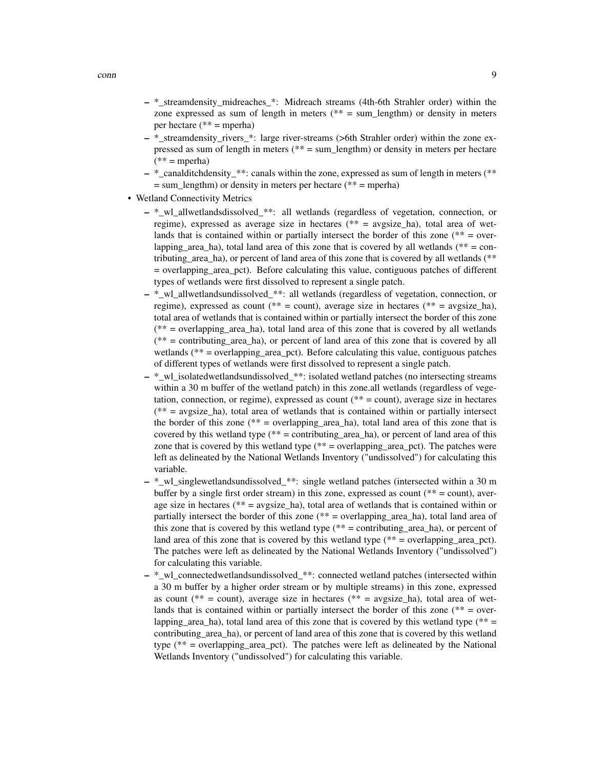- \*\_streamdensity\_midreaches\_\*: Midreach streams (4th-6th Strahler order) within the zone expressed as sum of length in meters ( $** = sum$  lengthm) or density in meters per hectare ( $** =$ mperha)
- \*\_streamdensity\_rivers\_\*: large river-streams (>6th Strahler order) within the zone expressed as sum of length in meters (\*\* = sum\_lengthm) or density in meters per hectare  $(** = *mperha*)$
- \*\_canalditchdensity\_\*\*: canals within the zone, expressed as sum of length in meters (\*\*  $=$  sum\_lengthm) or density in meters per hectare (\*\*  $=$  mperha)
- Wetland Connectivity Metrics
	- $-$  \* wl allwetlandsdissolved \*\*: all wetlands (regardless of vegetation, connection, or regime), expressed as average size in hectares (\*\* = avgsize\_ha), total area of wetlands that is contained within or partially intersect the border of this zone ( $** = over$ lapping area ha), total land area of this zone that is covered by all wetlands (\*\* = contributing\_area\_ha), or percent of land area of this zone that is covered by all wetlands (\*\* = overlapping\_area\_pct). Before calculating this value, contiguous patches of different types of wetlands were first dissolved to represent a single patch.
	- $-$  \* wl allwetlandsundissolved \*\*: all wetlands (regardless of vegetation, connection, or regime), expressed as count (\*\* = count), average size in hectares (\*\* = avgsize ha), total area of wetlands that is contained within or partially intersect the border of this zone (\*\* = overlapping\_area\_ha), total land area of this zone that is covered by all wetlands (\*\* = contributing\_area\_ha), or percent of land area of this zone that is covered by all wetlands (\*\* = overlapping\_area\_pct). Before calculating this value, contiguous patches of different types of wetlands were first dissolved to represent a single patch.
	- $-$  \* wl isolatedwetlandsundissolved \*\*: isolated wetland patches (no intersecting streams within a 30 m buffer of the wetland patch) in this zone.all wetlands (regardless of vegetation, connection, or regime), expressed as count (\*\* = count), average size in hectares  $(** = avgsize<sub>h</sub>$  and  $(**)$  total area of wetlands that is contained within or partially intersect the border of this zone ( $** = \overline{\text{overlapping\_area\_ha}}$ ), total land area of this zone that is covered by this wetland type  $(** =$  contributing area ha), or percent of land area of this zone that is covered by this wetland type  $(** = overlapping\_area_pct)$ . The patches were left as delineated by the National Wetlands Inventory ("undissolved") for calculating this variable.
	- \*\_wl\_singlewetlandsundissolved\_\*\*: single wetland patches (intersected within a 30 m buffer by a single first order stream) in this zone, expressed as count ( $** =$  count), average size in hectares ( $** = \text{avgsize\_ha}$ ), total area of wetlands that is contained within or partially intersect the border of this zone (\*\* = overlapping\_area\_ha), total land area of this zone that is covered by this wetland type  $(** =$  contributing\_area\_ha), or percent of land area of this zone that is covered by this wetland type  $(** = overlapping\_area\_pt)$ . The patches were left as delineated by the National Wetlands Inventory ("undissolved") for calculating this variable.
	- \*\_wl\_connectedwetlandsundissolved\_\*\*: connected wetland patches (intersected within a 30 m buffer by a higher order stream or by multiple streams) in this zone, expressed as count (\*\* = count), average size in hectares (\*\* = avgsize ha), total area of wetlands that is contained within or partially intersect the border of this zone ( $** = over$ lapping area ha), total land area of this zone that is covered by this wetland type (\*\*  $=$ contributing\_area\_ha), or percent of land area of this zone that is covered by this wetland type ( $**$  = overlapping area pct). The patches were left as delineated by the National Wetlands Inventory ("undissolved") for calculating this variable.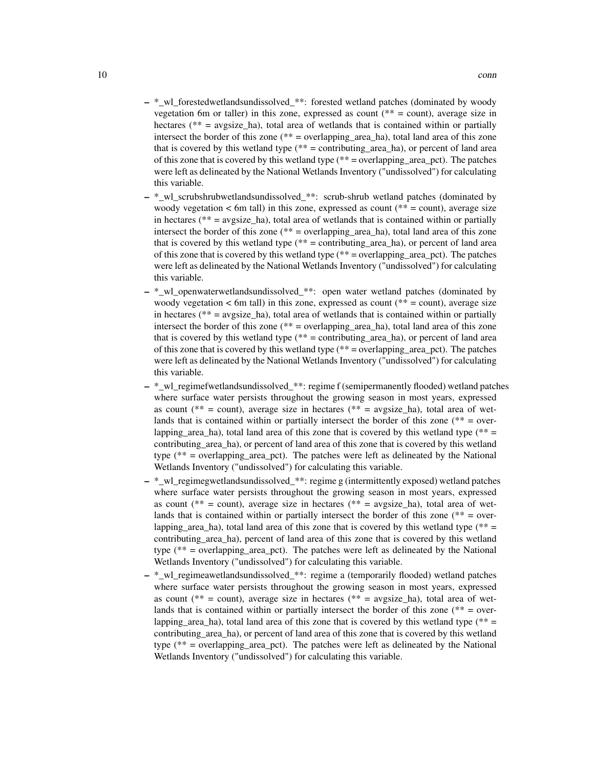- \*\_wl\_forestedwetlandsundissolved\_\*\*: forested wetland patches (dominated by woody vegetation 6m or taller) in this zone, expressed as count ( $** =$  count), average size in hectares ( $**$  = avgsize ha), total area of wetlands that is contained within or partially intersect the border of this zone ( $**$  = overlapping area ha), total land area of this zone that is covered by this wetland type  $(** =$  contributing area ha), or percent of land area of this zone that is covered by this wetland type  $(** = overlapping\_area\_pot)$ . The patches were left as delineated by the National Wetlands Inventory ("undissolved") for calculating this variable.
- \*\_wl\_scrubshrubwetlandsundissolved\_\*\*: scrub-shrub wetland patches (dominated by woody vegetation  $<$  6m tall) in this zone, expressed as count ( $**$  = count), average size in hectares ( $** = \text{avgsize}$  ha), total area of wetlands that is contained within or partially intersect the border of this zone (\*\* = overlapping\_area\_ha), total land area of this zone that is covered by this wetland type  $(** =$  contributing area ha), or percent of land area of this zone that is covered by this wetland type (\*\* = overlapping\_area\_pct). The patches were left as delineated by the National Wetlands Inventory ("undissolved") for calculating this variable.
- \*\_wl\_openwaterwetlandsundissolved\_\*\*: open water wetland patches (dominated by woody vegetation  $\lt$  6m tall) in this zone, expressed as count (\*\* = count), average size in hectares ( $** = \text{avgsize}$  ha), total area of wetlands that is contained within or partially intersect the border of this zone (\*\* = overlapping\_area\_ha), total land area of this zone that is covered by this wetland type  $(** =$  contributing\_area\_ha), or percent of land area of this zone that is covered by this wetland type ( $** =$  overlapping area pct). The patches were left as delineated by the National Wetlands Inventory ("undissolved") for calculating this variable.
- \* wl\_regimefwetlandsundissolved \*\*: regime f (semipermanently flooded) wetland patches where surface water persists throughout the growing season in most years, expressed as count ( $** = count$ ), average size in hectares ( $** = avgize_{na}$ ), total area of wetlands that is contained within or partially intersect the border of this zone ( $** = over$ lapping\_area\_ha), total land area of this zone that is covered by this wetland type  $(** =$ contributing\_area\_ha), or percent of land area of this zone that is covered by this wetland type (\*\* = overlapping\_area\_pct). The patches were left as delineated by the National Wetlands Inventory ("undissolved") for calculating this variable.
- \*\_wl\_regimegwetlandsundissolved\_\*\*: regime g (intermittently exposed) wetland patches where surface water persists throughout the growing season in most years, expressed as count (\*\* = count), average size in hectares (\*\* = avgsize ha), total area of wetlands that is contained within or partially intersect the border of this zone ( $** = over$ lapping area ha), total land area of this zone that is covered by this wetland type (\*\*  $=$ contributing\_area\_ha), percent of land area of this zone that is covered by this wetland type ( $**$  = overlapping area pct). The patches were left as delineated by the National Wetlands Inventory ("undissolved") for calculating this variable.
- \*\_wl\_regimeawetlandsundissolved\_\*\*: regime a (temporarily flooded) wetland patches where surface water persists throughout the growing season in most years, expressed as count (\*\* = count), average size in hectares (\*\* = avgsize ha), total area of wetlands that is contained within or partially intersect the border of this zone ( $** = over$ lapping area ha), total land area of this zone that is covered by this wetland type (\*\*  $=$ contributing\_area\_ha), or percent of land area of this zone that is covered by this wetland type ( $**$  = overlapping area pct). The patches were left as delineated by the National Wetlands Inventory ("undissolved") for calculating this variable.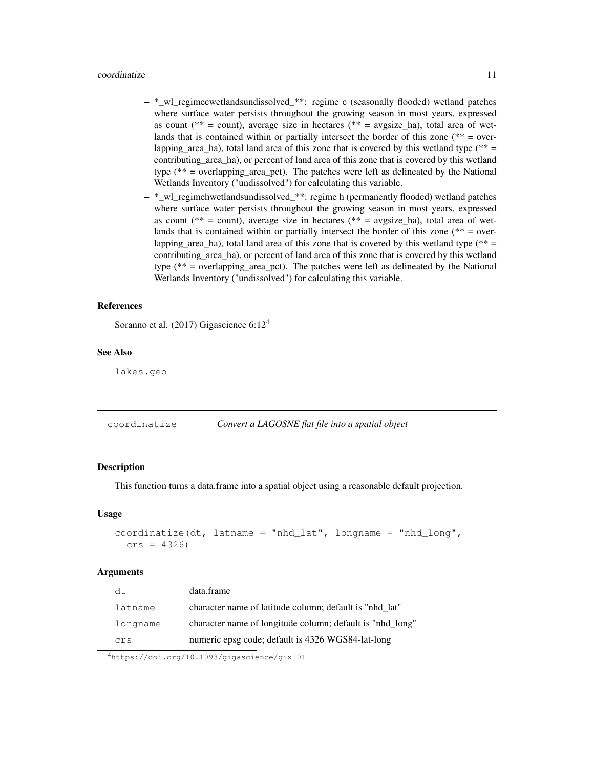#### coordinatize 11

- \*\_wl\_regimecwetlandsundissolved\_\*\*: regime c (seasonally flooded) wetland patches where surface water persists throughout the growing season in most years, expressed as count (\*\* = count), average size in hectares (\*\* = avgsize ha), total area of wetlands that is contained within or partially intersect the border of this zone ( $** = over$ lapping area ha), total land area of this zone that is covered by this wetland type (\*\*  $=$ contributing\_area\_ha), or percent of land area of this zone that is covered by this wetland type (\*\* = overlapping\_area\_pct). The patches were left as delineated by the National Wetlands Inventory ("undissolved") for calculating this variable.
- $-$  \* wl\_regimehwetlandsundissolved\_\*\*: regime h (permanently flooded) wetland patches where surface water persists throughout the growing season in most years, expressed as count (\*\* = count), average size in hectares (\*\* = avgsize ha), total area of wetlands that is contained within or partially intersect the border of this zone ( $** = over$ lapping area ha), total land area of this zone that is covered by this wetland type (\*\*  $=$ contributing\_area\_ha), or percent of land area of this zone that is covered by this wetland type (\*\* = overlapping\_area\_pct). The patches were left as delineated by the National Wetlands Inventory ("undissolved") for calculating this variable.

#### References

Soranno et al. (2017) Gigascience 6:12<sup>4</sup>

# See Also

lakes.geo

| coordinatize | Convert a LAGOSNE flat file into a spatial object |  |
|--------------|---------------------------------------------------|--|
|--------------|---------------------------------------------------|--|

# Description

This function turns a data.frame into a spatial object using a reasonable default projection.

#### Usage

```
coordinate(dt, latname = "nhd_lat", longname = "nhd_lat", longname = "nhd_longt",crs = 4326
```
#### Arguments

| dt.      | data.frame                                                |
|----------|-----------------------------------------------------------|
| latname  | character name of latitude column; default is "nhd lat"   |
| longname | character name of longitude column; default is "nhd_long" |
| crs      | numeric epsg code; default is 4326 WGS84-lat-long         |

<sup>4</sup>https://doi.org/10.1093/gigascience/gix101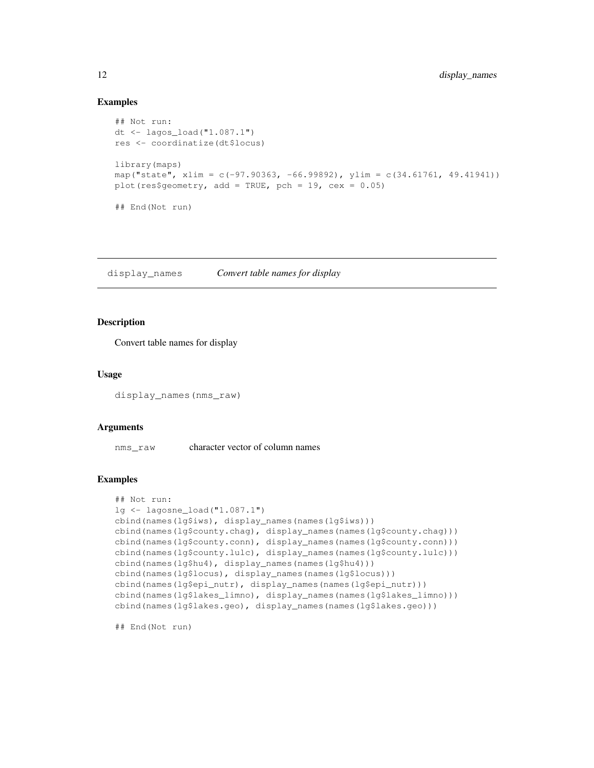# Examples

```
## Not run:
dt <- lagos_load("1.087.1")
res <- coordinatize(dt$locus)
library(maps)
map("state", xlim = c(-97.90363, -66.99892), ylim = c(34.61761, 49.41941))
plot(res$geometry, add = TRUE, pch = 19, cex = 0.05)
## End(Not run)
```
display\_names *Convert table names for display*

#### **Description**

Convert table names for display

# Usage

display\_names(nms\_raw)

#### Arguments

nms\_raw character vector of column names

# Examples

```
## Not run:
lg <- lagosne_load("1.087.1")
cbind(names(lg$iws), display_names(names(lg$iws)))
cbind(names(lg$county.chag), display_names(names(lg$county.chag)))
cbind(names(lg$county.conn), display_names(names(lg$county.conn)))
cbind(names(lg$county.lulc), display_names(names(lg$county.lulc)))
cbind(names(lg$hu4), display_names(names(lg$hu4)))
cbind(names(lg$locus), display_names(names(lg$locus)))
cbind(names(lg$epi_nutr), display_names(names(lg$epi_nutr)))
cbind(names(lg$lakes_limno), display_names(names(lg$lakes_limno)))
cbind(names(lg$lakes.geo), display_names(names(lg$lakes.geo)))
```
## End(Not run)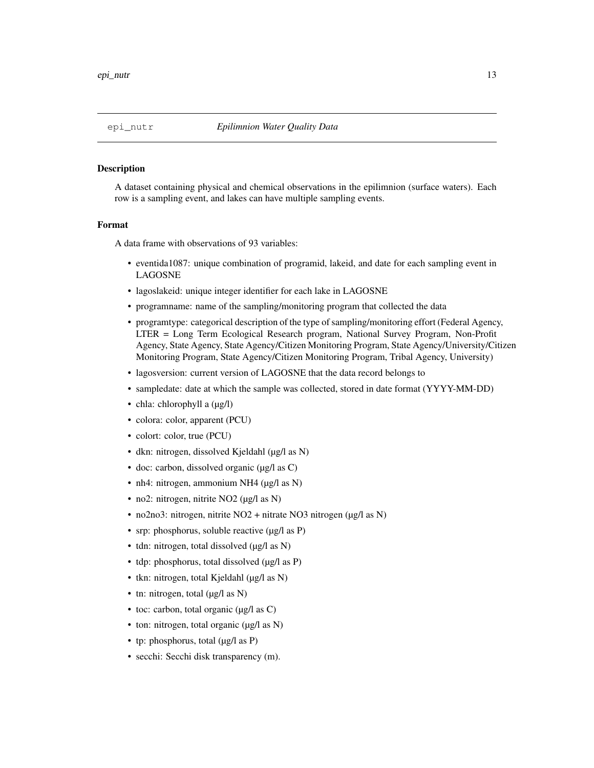A dataset containing physical and chemical observations in the epilimnion (surface waters). Each row is a sampling event, and lakes can have multiple sampling events.

#### Format

A data frame with observations of 93 variables:

- eventida1087: unique combination of programid, lakeid, and date for each sampling event in LAGOSNE
- lagoslakeid: unique integer identifier for each lake in LAGOSNE
- programname: name of the sampling/monitoring program that collected the data
- programtype: categorical description of the type of sampling/monitoring effort (Federal Agency, LTER = Long Term Ecological Research program, National Survey Program, Non-Profit Agency, State Agency, State Agency/Citizen Monitoring Program, State Agency/University/Citizen Monitoring Program, State Agency/Citizen Monitoring Program, Tribal Agency, University)
- lagosversion: current version of LAGOSNE that the data record belongs to
- sampledate: date at which the sample was collected, stored in date format (YYYY-MM-DD)
- chla: chlorophyll a (µg/l)
- colora: color, apparent (PCU)
- colort: color, true (PCU)
- dkn: nitrogen, dissolved Kjeldahl (µg/l as N)
- doc: carbon, dissolved organic (µg/l as C)
- nh4: nitrogen, ammonium NH4 (µg/l as N)
- no2: nitrogen, nitrite NO2 (µg/l as N)
- no2no3: nitrogen, nitrite NO2 + nitrate NO3 nitrogen (µg/l as N)
- srp: phosphorus, soluble reactive (µg/l as P)
- tdn: nitrogen, total dissolved ( $\mu$ g/l as N)
- tdp: phosphorus, total dissolved (µg/l as P)
- tkn: nitrogen, total Kjeldahl (µg/l as N)
- tn: nitrogen, total (µg/l as N)
- toc: carbon, total organic  $(\mu g / I \text{ as } C)$
- ton: nitrogen, total organic (µg/l as N)
- tp: phosphorus, total  $(\mu g / I \text{ as } P)$
- secchi: Secchi disk transparency (m).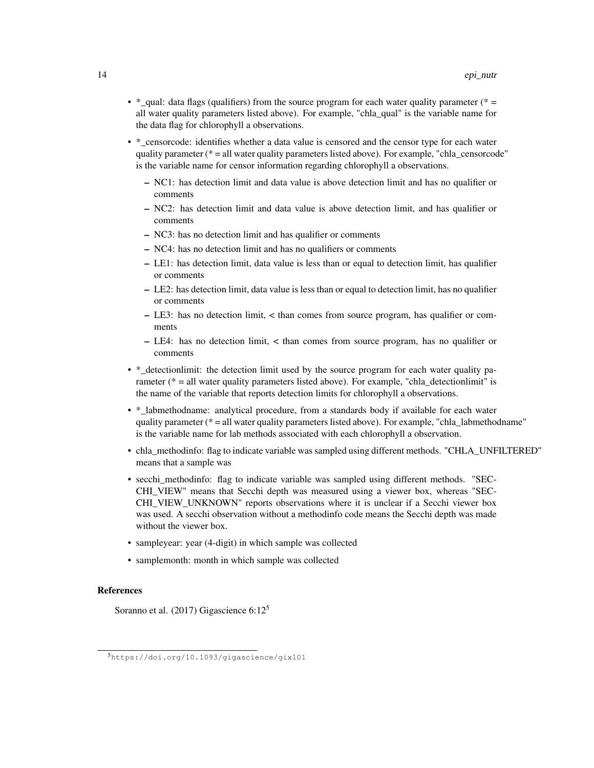- \*\_qual: data flags (qualifiers) from the source program for each water quality parameter (\* = all water quality parameters listed above). For example, "chla\_qual" is the variable name for the data flag for chlorophyll a observations.
- \*\_censorcode: identifies whether a data value is censored and the censor type for each water quality parameter (\* = all water quality parameters listed above). For example, "chla\_censorcode" is the variable name for censor information regarding chlorophyll a observations.
	- NC1: has detection limit and data value is above detection limit and has no qualifier or comments
	- NC2: has detection limit and data value is above detection limit, and has qualifier or comments
	- NC3: has no detection limit and has qualifier or comments
	- NC4: has no detection limit and has no qualifiers or comments
	- LE1: has detection limit, data value is less than or equal to detection limit, has qualifier or comments
	- LE2: has detection limit, data value is less than or equal to detection limit, has no qualifier or comments
	- LE3: has no detection limit, < than comes from source program, has qualifier or comments
	- LE4: has no detection limit, < than comes from source program, has no qualifier or comments
- \* detectionlimit: the detection limit used by the source program for each water quality parameter ( $*$  = all water quality parameters listed above). For example, "chla detectionlimit" is the name of the variable that reports detection limits for chlorophyll a observations.
- \*\_labmethodname: analytical procedure, from a standards body if available for each water quality parameter ( $* = all$  water quality parameters listed above). For example, "chla\_labmethodname" is the variable name for lab methods associated with each chlorophyll a observation.
- chla\_methodinfo: flag to indicate variable was sampled using different methods. "CHLA\_UNFILTERED" means that a sample was
- secchi\_methodinfo: flag to indicate variable was sampled using different methods. "SEC-CHI\_VIEW" means that Secchi depth was measured using a viewer box, whereas "SEC-CHI\_VIEW\_UNKNOWN" reports observations where it is unclear if a Secchi viewer box was used. A secchi observation without a methodinfo code means the Secchi depth was made without the viewer box.
- sampleyear: year (4-digit) in which sample was collected
- samplemonth: month in which sample was collected

#### References

Soranno et al. (2017) Gigascience 6:12<sup>5</sup>

<sup>5</sup>https://doi.org/10.1093/gigascience/gix101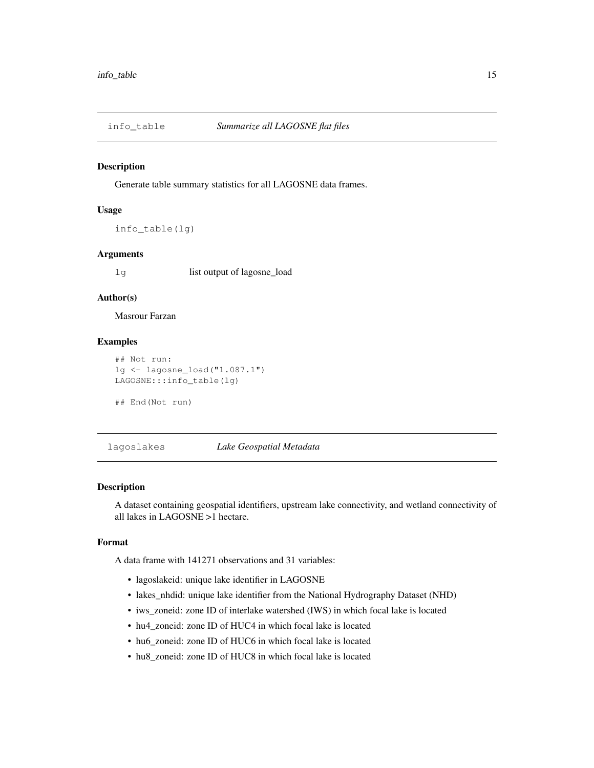Generate table summary statistics for all LAGOSNE data frames.

#### Usage

info\_table(lg)

#### Arguments

lg list output of lagosne\_load

# Author(s)

Masrour Farzan

# Examples

```
## Not run:
lg <- lagosne_load("1.087.1")
LAGOSNE:::info_table(lg)
## End(Not run)
```
lagoslakes *Lake Geospatial Metadata*

# Description

A dataset containing geospatial identifiers, upstream lake connectivity, and wetland connectivity of all lakes in LAGOSNE >1 hectare.

#### Format

A data frame with 141271 observations and 31 variables:

- lagoslakeid: unique lake identifier in LAGOSNE
- lakes\_nhdid: unique lake identifier from the National Hydrography Dataset (NHD)
- iws\_zoneid: zone ID of interlake watershed (IWS) in which focal lake is located
- hu4 zoneid: zone ID of HUC4 in which focal lake is located
- hu6\_zoneid: zone ID of HUC6 in which focal lake is located
- hu8\_zoneid: zone ID of HUC8 in which focal lake is located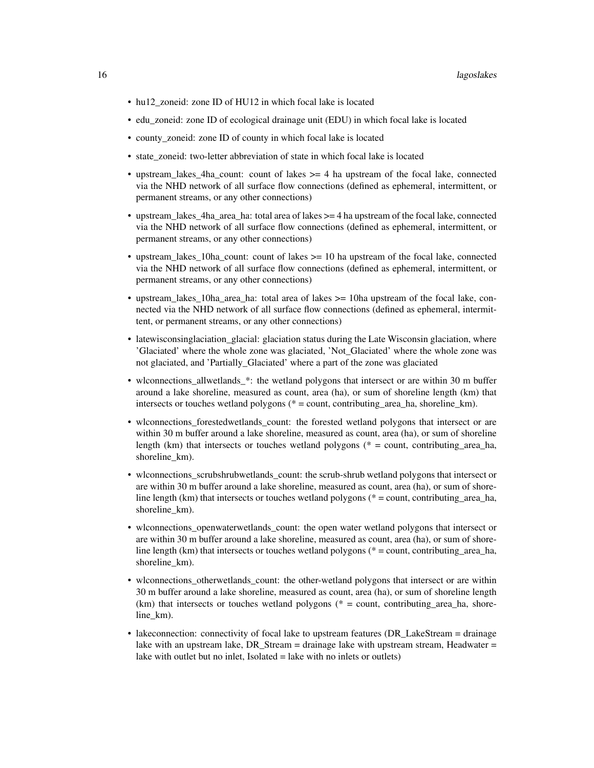- hu12\_zoneid: zone ID of HU12 in which focal lake is located
- edu zoneid: zone ID of ecological drainage unit (EDU) in which focal lake is located
- county zoneid: zone ID of county in which focal lake is located
- state zoneid: two-letter abbreviation of state in which focal lake is located
- upstream lakes 4ha count: count of lakes  $>= 4$  ha upstream of the focal lake, connected via the NHD network of all surface flow connections (defined as ephemeral, intermittent, or permanent streams, or any other connections)
- upstream\_lakes\_4ha\_area\_ha: total area of lakes >= 4 ha upstream of the focal lake, connected via the NHD network of all surface flow connections (defined as ephemeral, intermittent, or permanent streams, or any other connections)
- upstream\_lakes\_10ha\_count: count of lakes >= 10 ha upstream of the focal lake, connected via the NHD network of all surface flow connections (defined as ephemeral, intermittent, or permanent streams, or any other connections)
- upstream\_lakes\_10ha\_area\_ha: total area of lakes >= 10ha upstream of the focal lake, connected via the NHD network of all surface flow connections (defined as ephemeral, intermittent, or permanent streams, or any other connections)
- latewisconsinglaciation\_glacial: glaciation status during the Late Wisconsin glaciation, where 'Glaciated' where the whole zone was glaciated, 'Not\_Glaciated' where the whole zone was not glaciated, and 'Partially\_Glaciated' where a part of the zone was glaciated
- wlconnections\_allwetlands\_\*: the wetland polygons that intersect or are within 30 m buffer around a lake shoreline, measured as count, area (ha), or sum of shoreline length (km) that intersects or touches wetland polygons (\* = count, contributing\_area\_ha, shoreline\_km).
- wlconnections\_forestedwetlands\_count: the forested wetland polygons that intersect or are within 30 m buffer around a lake shoreline, measured as count, area (ha), or sum of shoreline length (km) that intersects or touches wetland polygons ( $* =$  count, contributing area ha, shoreline\_km).
- wlconnections\_scrubshrubwetlands\_count: the scrub-shrub wetland polygons that intersect or are within 30 m buffer around a lake shoreline, measured as count, area (ha), or sum of shoreline length (km) that intersects or touches wetland polygons ( $* =$  count, contributing area ha, shoreline\_km).
- wlconnections\_openwaterwetlands\_count: the open water wetland polygons that intersect or are within 30 m buffer around a lake shoreline, measured as count, area (ha), or sum of shoreline length (km) that intersects or touches wetland polygons ( $* =$  count, contributing area ha, shoreline km).
- wlconnections\_otherwetlands\_count: the other-wetland polygons that intersect or are within 30 m buffer around a lake shoreline, measured as count, area (ha), or sum of shoreline length  $(km)$  that intersects or touches wetland polygons ( $* =$  count, contributing area ha, shoreline\_km).
- lakeconnection: connectivity of focal lake to upstream features (DR\_LakeStream = drainage lake with an upstream lake, DR Stream = drainage lake with upstream stream, Headwater = lake with outlet but no inlet, Isolated = lake with no inlets or outlets)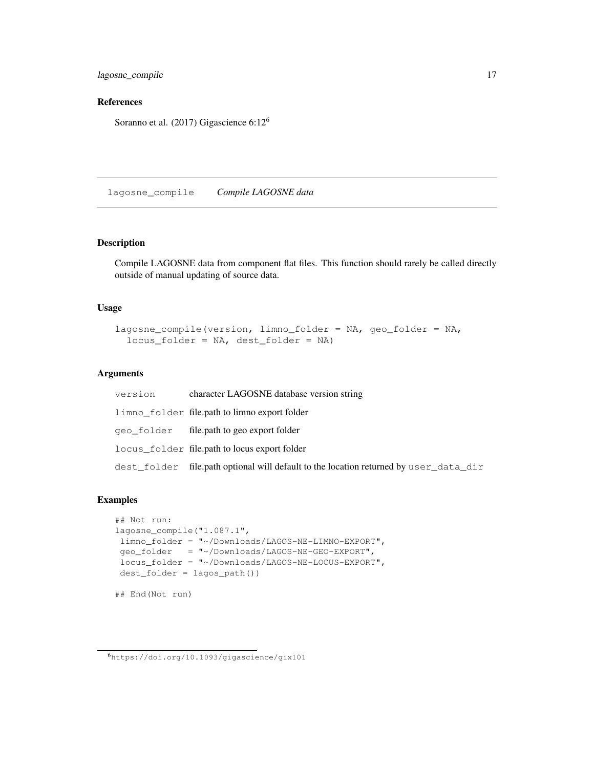lagosne\_compile 17

# References

Soranno et al. (2017) Gigascience 6:12<sup>6</sup>

lagosne\_compile *Compile LAGOSNE data*

# Description

Compile LAGOSNE data from component flat files. This function should rarely be called directly outside of manual updating of source data.

#### Usage

```
lagosne_compile(version, limno_folder = NA, geo_folder = NA,
  locus_folder = NA, dest_folder = NA)
```
# Arguments

| version | character LAGOSNE database version string                                             |
|---------|---------------------------------------------------------------------------------------|
|         | limno_folder file.path to limno export folder                                         |
|         | geo_folder file.path to geo export folder                                             |
|         | locus_folder file.path to locus export folder                                         |
|         | dest_folder file.path optional will default to the location returned by user_data_dir |

#### Examples

```
## Not run:
lagosne_compile("1.087.1",
limno_folder = "~/Downloads/LAGOS-NE-LIMNO-EXPORT",
geo_folder = "~/Downloads/LAGOS-NE-GEO-EXPORT",
locus_folder = "~/Downloads/LAGOS-NE-LOCUS-EXPORT",
dest_folder = lagos_path())
## End(Not run)
```
<sup>6</sup>https://doi.org/10.1093/gigascience/gix101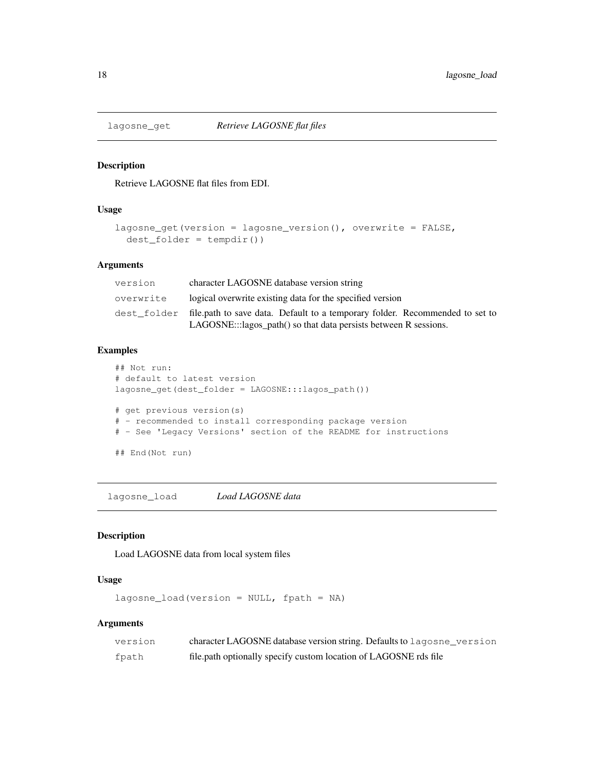Retrieve LAGOSNE flat files from EDI.

# Usage

```
lagosne_get(version = lagosne_version(), overwrite = FALSE,
  dest_folder = tempdir())
```
# Arguments

| version   | character LAGOSNE database version string                                                                                                                    |
|-----------|--------------------------------------------------------------------------------------------------------------------------------------------------------------|
| overwrite | logical overwrite existing data for the specified version                                                                                                    |
|           | dest_folder file.path to save data. Default to a temporary folder. Recommended to set to<br>LAGOSNE:::lagos_path() so that data persists between R sessions. |

#### Examples

```
## Not run:
# default to latest version
lagosne_get(dest_folder = LAGOSNE:::lagos_path())
# get previous version(s)
# - recommended to install corresponding package version
# - See 'Legacy Versions' section of the README for instructions
## End(Not run)
```
lagosne\_load *Load LAGOSNE data*

# Description

Load LAGOSNE data from local system files

# Usage

```
lagosne\_load(version = NULL, fpath = NA)
```
# Arguments

| version | character LAGOSNE database version string. Defaults to lagosne_version |
|---------|------------------------------------------------------------------------|
| fpath   | file.path optionally specify custom location of LAGOSNE rds file       |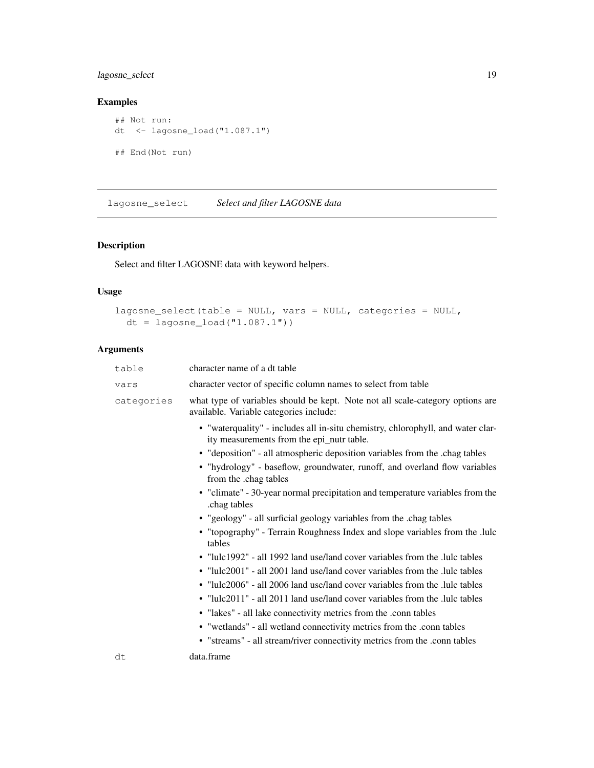# lagosne\_select 19

# Examples

```
## Not run:
dt <- lagosne_load("1.087.1")
## End(Not run)
```
lagosne\_select *Select and filter LAGOSNE data*

# Description

Select and filter LAGOSNE data with keyword helpers.

# Usage

```
lagosne_select(table = NULL, vars = NULL, categories = NULL,
 dt = lagosne_load("1.087.1"))
```
# Arguments

| table      | character name of a dt table                                                                                                 |
|------------|------------------------------------------------------------------------------------------------------------------------------|
| vars       | character vector of specific column names to select from table                                                               |
| categories | what type of variables should be kept. Note not all scale-category options are<br>available. Variable categories include:    |
|            | • "waterquality" - includes all in-situ chemistry, chlorophyll, and water clar-<br>ity measurements from the epi_nutr table. |
|            | • "deposition" - all atmospheric deposition variables from the .chag tables                                                  |
|            | • "hydrology" - baseflow, groundwater, runoff, and overland flow variables<br>from the .chag tables                          |
|            | • "climate" - 30-year normal precipitation and temperature variables from the<br>.chag tables                                |
|            | • "geology" - all surficial geology variables from the .chag tables                                                          |
|            | • "topography" - Terrain Roughness Index and slope variables from the .lulc<br>tables                                        |
|            | • "lulc1992" - all 1992 land use/land cover variables from the .lulc tables                                                  |
|            | • "lulc2001" - all 2001 land use/land cover variables from the .lulc tables                                                  |
|            | • "lulc2006" - all 2006 land use/land cover variables from the .lulc tables                                                  |
|            | • "lulc2011" - all 2011 land use/land cover variables from the .lulc tables                                                  |
|            | • "lakes" - all lake connectivity metrics from the .conn tables                                                              |
|            | • "wetlands" - all wetland connectivity metrics from the .conn tables                                                        |
|            | • "streams" - all stream/river connectivity metrics from the .conn tables                                                    |
| dt         | data.frame                                                                                                                   |
|            |                                                                                                                              |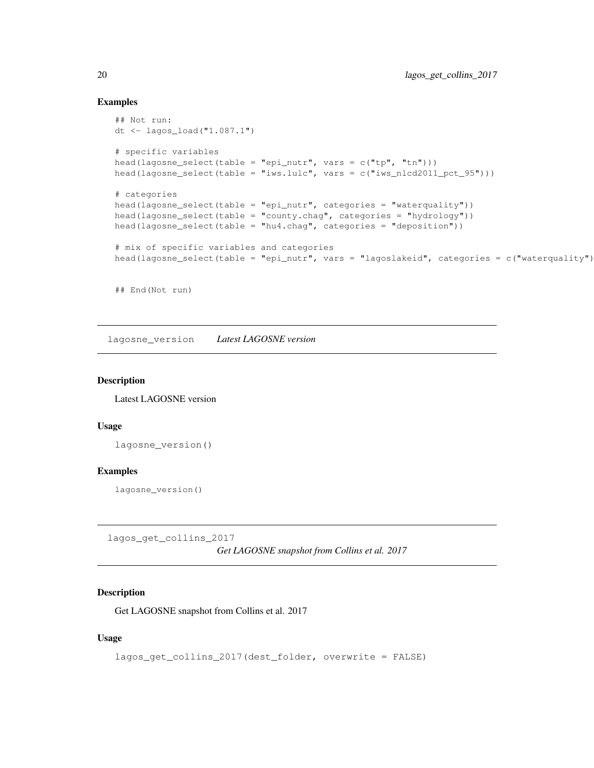# Examples

```
## Not run:
dt <- lagos_load("1.087.1")
# specific variables
head(lagosne_select(table = "epi_nutr", vars = c("tp", "tn"))))
head(lagosne_select(table = "iws.lulc", vars = c("iws_nlcd2011_pct_95")))
# categories
head(lagosne_select(table = "epi_nutr", categories = "waterquality"))
head(lagosne_select(table = "county.chag", categories = "hydrology"))
head(lagosne_select(table = "hu4.chag", categories = "deposition"))
# mix of specific variables and categories
head(lagosne_select(table = "epi_nutr", vars = "lagoslakeid", categories = c("waterquality")
```
## End(Not run)

lagosne\_version *Latest LAGOSNE version*

#### Description

Latest LAGOSNE version

#### Usage

```
lagosne_version()
```
#### Examples

lagosne\_version()

lagos\_get\_collins\_2017

*Get LAGOSNE snapshot from Collins et al. 2017*

#### Description

Get LAGOSNE snapshot from Collins et al. 2017

# Usage

```
lagos_get_collins_2017(dest_folder, overwrite = FALSE)
```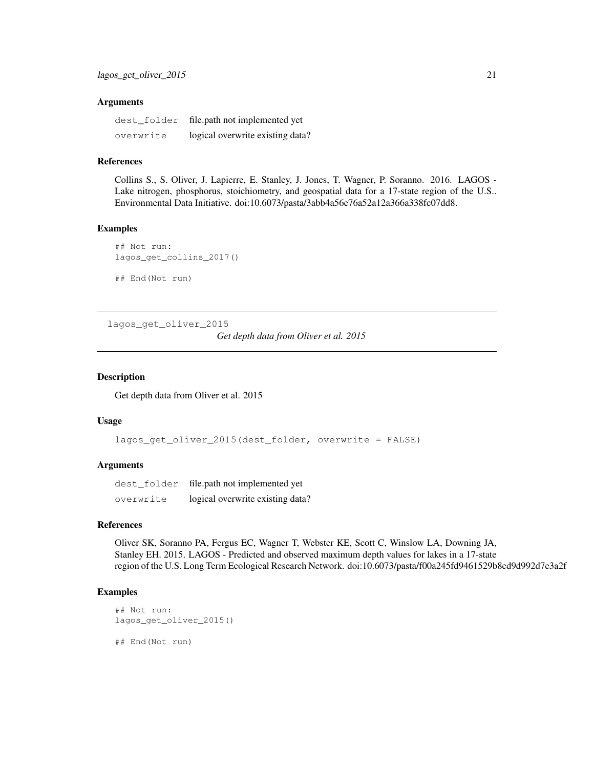#### Arguments

| dest folder | file.path not implemented yet    |
|-------------|----------------------------------|
| overwrite   | logical overwrite existing data? |

#### References

Collins S., S. Oliver, J. Lapierre, E. Stanley, J. Jones, T. Wagner, P. Soranno. 2016. LAGOS - Lake nitrogen, phosphorus, stoichiometry, and geospatial data for a 17-state region of the U.S.. Environmental Data Initiative. doi:10.6073/pasta/3abb4a56e76a52a12a366a338fc07dd8.

# Examples

```
## Not run:
lagos_get_collins_2017()
## End(Not run)
```
lagos\_get\_oliver\_2015

*Get depth data from Oliver et al. 2015*

#### Description

Get depth data from Oliver et al. 2015

# Usage

```
lagos_get_oliver_2015(dest_folder, overwrite = FALSE)
```
#### Arguments

|           | dest_folder file.path not implemented yet |
|-----------|-------------------------------------------|
| overwrite | logical overwrite existing data?          |

#### References

Oliver SK, Soranno PA, Fergus EC, Wagner T, Webster KE, Scott C, Winslow LA, Downing JA, Stanley EH. 2015. LAGOS - Predicted and observed maximum depth values for lakes in a 17-state region of the U.S. Long Term Ecological Research Network. doi:10.6073/pasta/f00a245fd9461529b8cd9d992d7e3a2f

# Examples

```
## Not run:
lagos_get_oliver_2015()
```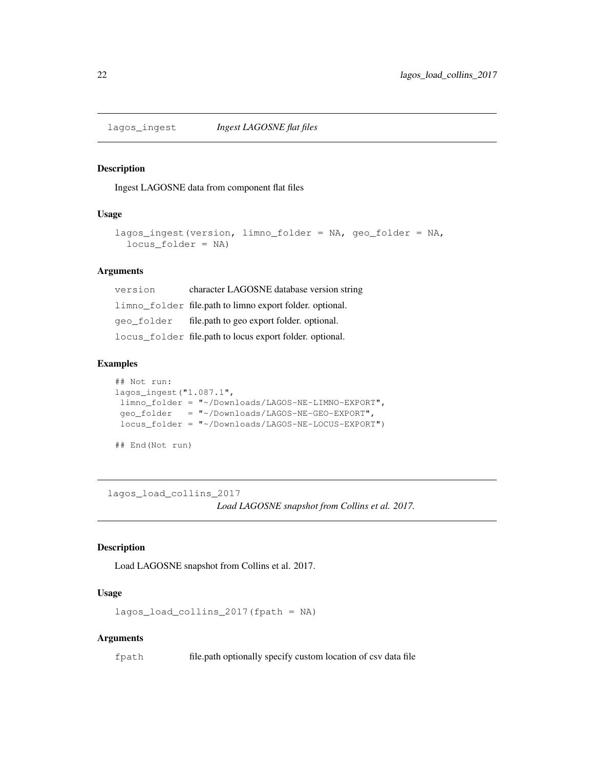Ingest LAGOSNE data from component flat files

# Usage

```
lagos_ingest(version, limno_folder = NA, geo_folder = NA,
  locus_folder = NA)
```
# Arguments

| version | character LAGOSNE database version string                |
|---------|----------------------------------------------------------|
|         | limno_folder file.path to limno export folder. optional. |
|         | geo_folder file.path to geo export folder. optional.     |
|         | locus_folder file.path to locus export folder. optional. |

# Examples

```
## Not run:
lagos_ingest("1.087.1",
limno_folder = "~/Downloads/LAGOS-NE-LIMNO-EXPORT",
geo_folder = "~/Downloads/LAGOS-NE-GEO-EXPORT",
locus_folder = "~/Downloads/LAGOS-NE-LOCUS-EXPORT")
## End(Not run)
```
lagos\_load\_collins\_2017

*Load LAGOSNE snapshot from Collins et al. 2017.*

#### Description

Load LAGOSNE snapshot from Collins et al. 2017.

# Usage

lagos\_load\_collins\_2017(fpath = NA)

#### Arguments

fpath file.path optionally specify custom location of csv data file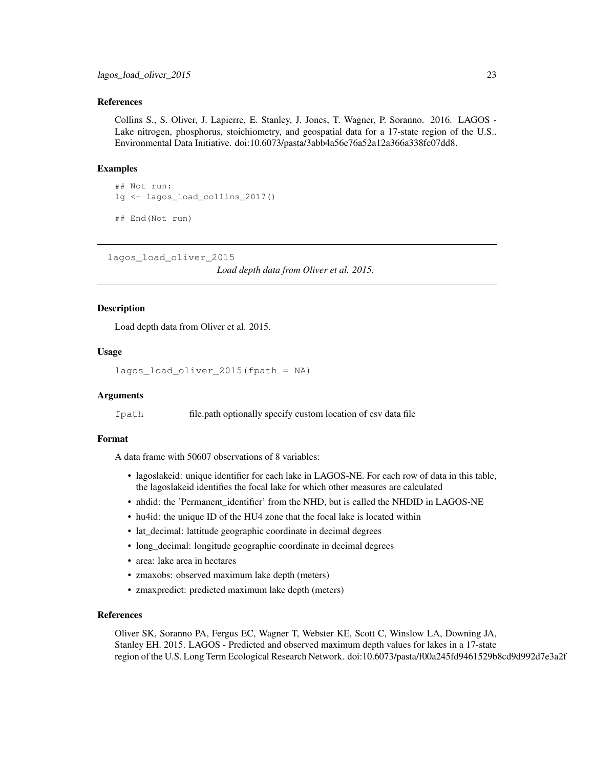#### References

Collins S., S. Oliver, J. Lapierre, E. Stanley, J. Jones, T. Wagner, P. Soranno. 2016. LAGOS - Lake nitrogen, phosphorus, stoichiometry, and geospatial data for a 17-state region of the U.S.. Environmental Data Initiative. doi:10.6073/pasta/3abb4a56e76a52a12a366a338fc07dd8.

#### Examples

```
## Not run:
lg <- lagos_load_collins_2017()
## End(Not run)
```
lagos\_load\_oliver\_2015

*Load depth data from Oliver et al. 2015.*

### Description

Load depth data from Oliver et al. 2015.

### Usage

```
lagos_load_oliver_2015(fpath = NA)
```
#### Arguments

fpath file.path optionally specify custom location of csv data file

# Format

A data frame with 50607 observations of 8 variables:

- lagoslakeid: unique identifier for each lake in LAGOS-NE. For each row of data in this table, the lagoslakeid identifies the focal lake for which other measures are calculated
- nhdid: the 'Permanent\_identifier' from the NHD, but is called the NHDID in LAGOS-NE
- hu4id: the unique ID of the HU4 zone that the focal lake is located within
- lat\_decimal: lattitude geographic coordinate in decimal degrees
- long\_decimal: longitude geographic coordinate in decimal degrees
- area: lake area in hectares
- zmaxobs: observed maximum lake depth (meters)
- zmaxpredict: predicted maximum lake depth (meters)

# References

Oliver SK, Soranno PA, Fergus EC, Wagner T, Webster KE, Scott C, Winslow LA, Downing JA, Stanley EH. 2015. LAGOS - Predicted and observed maximum depth values for lakes in a 17-state region of the U.S. Long Term Ecological Research Network. doi:10.6073/pasta/f00a245fd9461529b8cd9d992d7e3a2f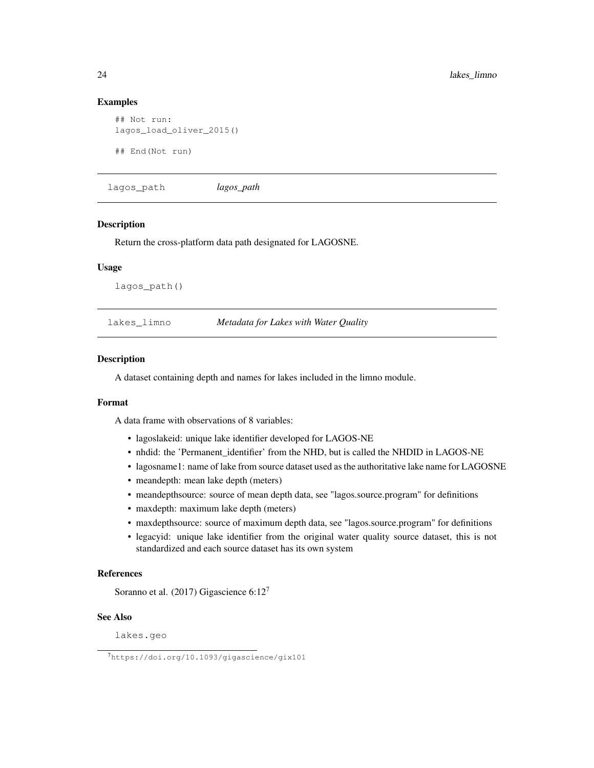#### Examples

```
## Not run:
lagos_load_oliver_2015()
## End(Not run)
```
lagos\_path *lagos\_path*

#### Description

Return the cross-platform data path designated for LAGOSNE.

#### Usage

lagos\_path()

lakes\_limno *Metadata for Lakes with Water Quality*

# Description

A dataset containing depth and names for lakes included in the limno module.

#### Format

A data frame with observations of 8 variables:

- lagoslakeid: unique lake identifier developed for LAGOS-NE
- nhdid: the 'Permanent\_identifier' from the NHD, but is called the NHDID in LAGOS-NE
- lagosname1: name of lake from source dataset used as the authoritative lake name for LAGOSNE
- meandepth: mean lake depth (meters)
- meandepthsource: source of mean depth data, see "lagos.source.program" for definitions
- maxdepth: maximum lake depth (meters)
- maxdepthsource: source of maximum depth data, see "lagos.source.program" for definitions
- legacyid: unique lake identifier from the original water quality source dataset, this is not standardized and each source dataset has its own system

#### References

Soranno et al. (2017) Gigascience 6:12<sup>7</sup>

#### See Also

lakes.geo

<sup>7</sup>https://doi.org/10.1093/gigascience/gix101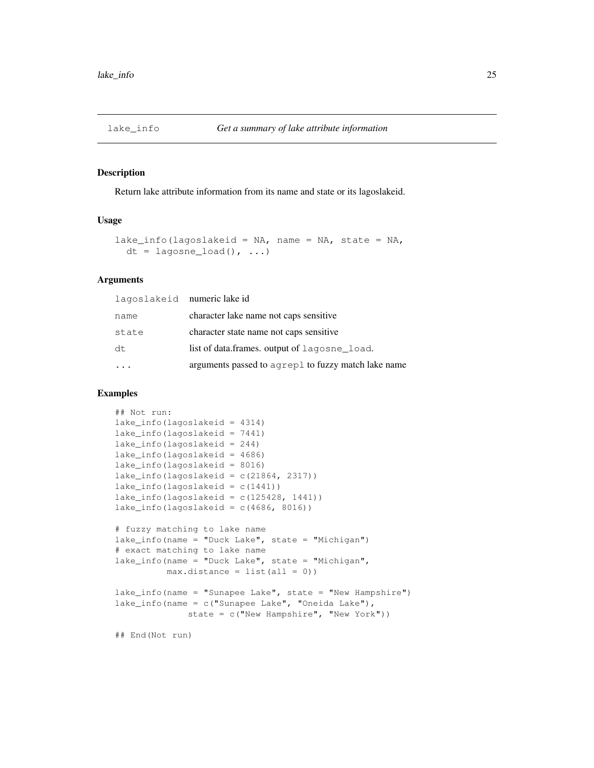Return lake attribute information from its name and state or its lagoslakeid.

### Usage

```
lake_info(lagoslakeid = NA, name = NA, state = NA,
 dt = lagosne\_load(), ...)
```
### Arguments

| lagoslakeid numeric lake id |                                                     |
|-----------------------------|-----------------------------------------------------|
| name                        | character lake name not caps sensitive              |
| state                       | character state name not caps sensitive             |
| dt.                         | list of data.frames. output of lagosne_load.        |
|                             | arguments passed to agrep1 to fuzzy match lake name |

#### Examples

```
## Not run:
lake_info(lagoslakeid = 4314)
lake_info(lagoslakeid = 7441)
lake_info(lagoslakeid = 244)
lake_info(lagoslakeid = 4686)
lake_info(lagoslakeid = 8016)
lake_info(lagoslakeid = c(21864, 2317))lake_info(laqoslakeid = c(1441))lake_info(lagoslakeid = c(125428, 1441))
lake_info(lagoslakeid = c(4686, 8016))
# fuzzy matching to lake name
lake_info(name = "Duck Lake", state = "Michigan")
# exact matching to lake name
lake_info(name = "Duck Lake", state = "Michigan",
         max.distance = list(al1 = 0))
lake_info(name = "Sunapee Lake", state = "New Hampshire")
lake_info(name = c("Sumapee Lake", "Oneida Lake");state = c("New Hampshire", "New York"))
## End(Not run)
```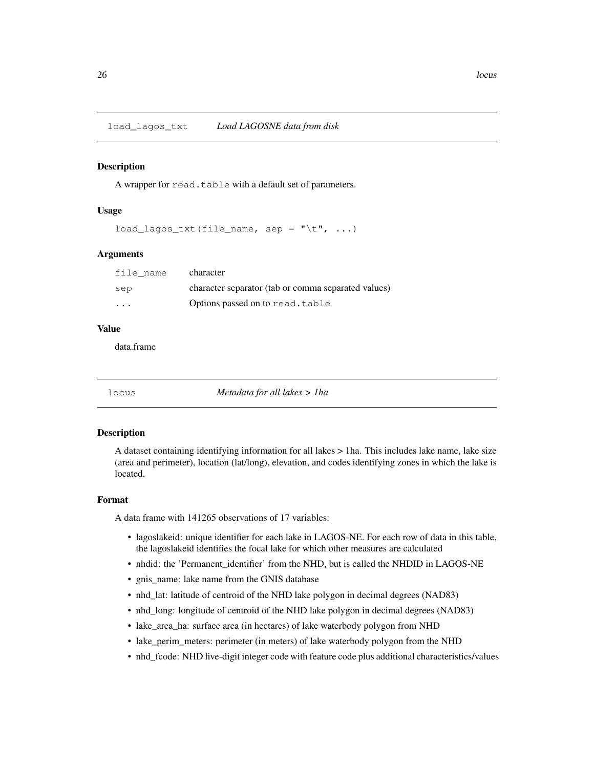load\_lagos\_txt *Load LAGOSNE data from disk*

#### **Description**

A wrapper for read.table with a default set of parameters.

#### Usage

 $load\_lagos\_txt(file\_name, sep = "\t", ...)$ 

#### Arguments

| file name | character                                           |
|-----------|-----------------------------------------------------|
| sep       | character separator (tab or comma separated values) |
| $\cdots$  | Options passed on to read.table                     |

# Value

data.frame

locus *Metadata for all lakes > 1ha*

#### Description

A dataset containing identifying information for all lakes > 1ha. This includes lake name, lake size (area and perimeter), location (lat/long), elevation, and codes identifying zones in which the lake is located.

#### Format

A data frame with 141265 observations of 17 variables:

- lagoslakeid: unique identifier for each lake in LAGOS-NE. For each row of data in this table, the lagoslakeid identifies the focal lake for which other measures are calculated
- nhdid: the 'Permanent\_identifier' from the NHD, but is called the NHDID in LAGOS-NE
- gnis\_name: lake name from the GNIS database
- nhd\_lat: latitude of centroid of the NHD lake polygon in decimal degrees (NAD83)
- nhd\_long: longitude of centroid of the NHD lake polygon in decimal degrees (NAD83)
- lake\_area\_ha: surface area (in hectares) of lake waterbody polygon from NHD
- lake\_perim\_meters: perimeter (in meters) of lake waterbody polygon from the NHD
- nhd\_fcode: NHD five-digit integer code with feature code plus additional characteristics/values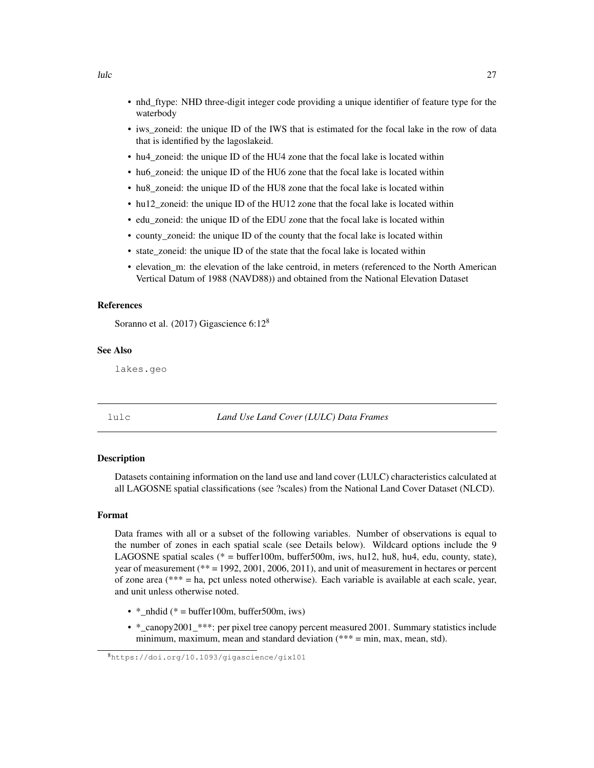- nhd\_ftype: NHD three-digit integer code providing a unique identifier of feature type for the waterbody
- iws zoneid: the unique ID of the IWS that is estimated for the focal lake in the row of data that is identified by the lagoslakeid.
- hu4\_zoneid: the unique ID of the HU4 zone that the focal lake is located within
- hu6 zoneid: the unique ID of the HU6 zone that the focal lake is located within
- hu8 zoneid: the unique ID of the HU8 zone that the focal lake is located within
- hu12 zoneid: the unique ID of the HU12 zone that the focal lake is located within
- edu\_zoneid: the unique ID of the EDU zone that the focal lake is located within
- county\_zoneid: the unique ID of the county that the focal lake is located within
- state\_zoneid: the unique ID of the state that the focal lake is located within
- elevation\_m: the elevation of the lake centroid, in meters (referenced to the North American Vertical Datum of 1988 (NAVD88)) and obtained from the National Elevation Dataset

#### References

Soranno et al. (2017) Gigascience 6:12<sup>8</sup>

#### See Also

lakes.geo

lulc *Land Use Land Cover (LULC) Data Frames*

# **Description**

Datasets containing information on the land use and land cover (LULC) characteristics calculated at all LAGOSNE spatial classifications (see ?scales) from the National Land Cover Dataset (NLCD).

#### Format

Data frames with all or a subset of the following variables. Number of observations is equal to the number of zones in each spatial scale (see Details below). Wildcard options include the 9 LAGOSNE spatial scales ( $* = buffer100m$ , buffer500m, iws, hu12, hu8, hu4, edu, county, state), year of measurement (\*\* = 1992, 2001, 2006, 2011), and unit of measurement in hectares or percent of zone area (\*\*\* = ha, pct unless noted otherwise). Each variable is available at each scale, year, and unit unless otherwise noted.

- \* nhdid (\* = buffer100m, buffer500m, iws)
- \*\_canopy2001\_\*\*\*: per pixel tree canopy percent measured 2001. Summary statistics include minimum, maximum, mean and standard deviation  $(*** = min, max, mean, std)$ .

<sup>8</sup>https://doi.org/10.1093/gigascience/gix101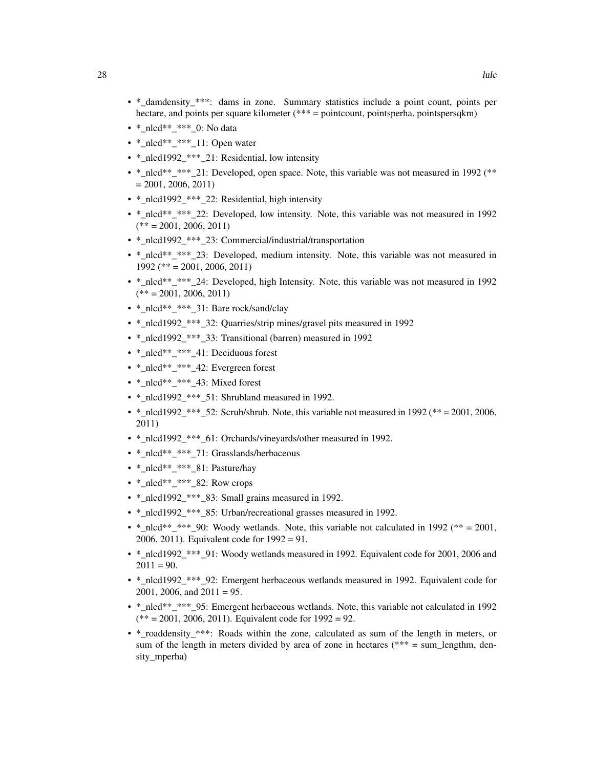- \*\_damdensity\_\*\*\*: dams in zone. Summary statistics include a point count, points per hectare, and points per square kilometer (\*\*\* = pointcount, pointsperha, pointspersqkm)
- \*\_nlcd\*\*\_\*\*\*\_0: No data
- \*\_nlcd\*\*\_\*\*\*\_11: Open water
- \*\_nlcd1992\_\*\*\*\_21: Residential, low intensity
- \*  $n$ lcd\*\* \*\*\* 21: Developed, open space. Note, this variable was not measured in 1992 (\*\*  $= 2001, 2006, 2011$
- \*  $nlcd1992$  \*\*\* 22: Residential, high intensity
- \* nlcd\*\* \*\*\* 22: Developed, low intensity. Note, this variable was not measured in 1992  $(** = 2001, 2006, 2011)$
- \*\_nlcd1992\_\*\*\*\_23: Commercial/industrial/transportation
- \*\_nlcd\*\*\_\*\*\*\_23: Developed, medium intensity. Note, this variable was not measured in 1992 (\*\* = 2001, 2006, 2011)
- \*\_nlcd\*\*\_\*\*\*\_24: Developed, high Intensity. Note, this variable was not measured in 1992  $(** = 2001, 2006, 2011)$
- \*\_nlcd\*\*\_\*\*\*\_31: Bare rock/sand/clay
- \*\_nlcd1992\_\*\*\*\_32: Quarries/strip mines/gravel pits measured in 1992
- \* nlcd1992 \*\*\* 33: Transitional (barren) measured in 1992
- \*\_nlcd\*\*\_\*\*\*\_41: Deciduous forest
- \*\_nlcd\*\*\_\*\*\*\_42: Evergreen forest
- \*\_nlcd\*\*\_\*\*\*\_43: Mixed forest
- \*\_nlcd1992\_\*\*\*\_51: Shrubland measured in 1992.
- \*  $n$ lcd1992 \*\*\* 52: Scrub/shrub. Note, this variable not measured in 1992 (\*\* = 2001, 2006, 2011)
- \*\_nlcd1992\_\*\*\*\_61: Orchards/vineyards/other measured in 1992.
- \*\_nlcd\*\*\_\*\*\*\_71: Grasslands/herbaceous
- \*\_nlcd\*\*\_\*\*\*\_81: Pasture/hay
- $*_{nlcd}^{***_{1}***_{22}$ : Row crops
- \* nlcd1992 \*\*\* 83: Small grains measured in 1992.
- \*\_nlcd1992\_\*\*\*\_85: Urban/recreational grasses measured in 1992.
- \*\_nlcd\*\*\_\*\*\*\_90: Woody wetlands. Note, this variable not calculated in 1992 (\*\* = 2001, 2006, 2011). Equivalent code for 1992 = 91.
- \*\_nlcd1992\_\*\*\*\_91: Woody wetlands measured in 1992. Equivalent code for 2001, 2006 and  $2011 = 90.$
- \*\_nlcd1992\_\*\*\*\_92: Emergent herbaceous wetlands measured in 1992. Equivalent code for 2001, 2006, and  $2011 = 95$ .
- \* nlcd\*\* \*\*\* 95: Emergent herbaceous wetlands. Note, this variable not calculated in 1992  $(** = 2001, 2006, 2011)$ . Equivalent code for  $1992 = 92$ .
- \*\_roaddensity\_\*\*\*: Roads within the zone, calculated as sum of the length in meters, or sum of the length in meters divided by area of zone in hectares ( $*** = sum$  lengthm, density\_mperha)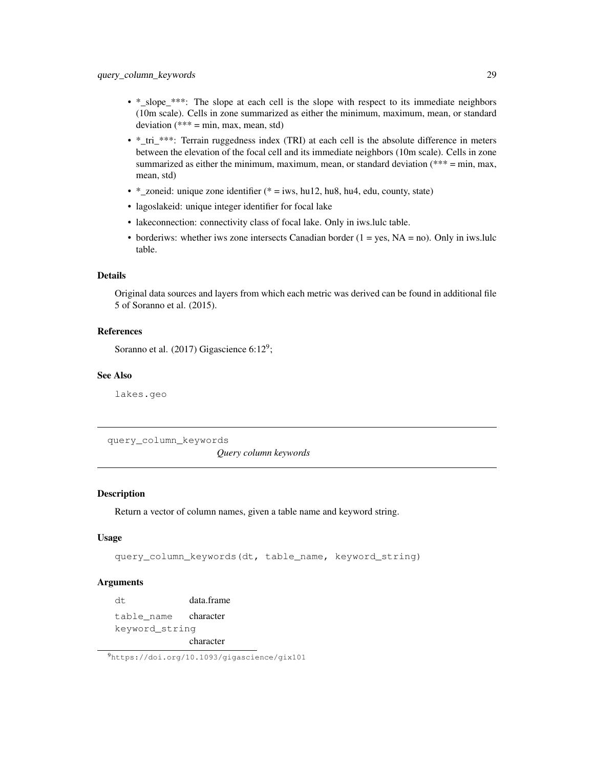- \*\_slope\_\*\*\*: The slope at each cell is the slope with respect to its immediate neighbors (10m scale). Cells in zone summarized as either the minimum, maximum, mean, or standard deviation (\*\*\* = min, max, mean, std)
- \*\_tri\_\*\*\*: Terrain ruggedness index (TRI) at each cell is the absolute difference in meters between the elevation of the focal cell and its immediate neighbors (10m scale). Cells in zone summarized as either the minimum, maximum, mean, or standard deviation (\*\*\* = min, max, mean, std)
- \*\_zoneid: unique zone identifier (\* = iws, hu12, hu8, hu4, edu, county, state)
- lagoslakeid: unique integer identifier for focal lake
- lakeconnection: connectivity class of focal lake. Only in iws.lulc table.
- borderiws: whether iws zone intersects Canadian border  $(1 = yes, NA = no)$ . Only in iws.lulc table.

# Details

Original data sources and layers from which each metric was derived can be found in additional file 5 of Soranno et al. (2015).

# References

Soranno et al.  $(2017)$  Gigascience 6:12<sup>9</sup>;

# See Also

lakes.geo

query\_column\_keywords

*Query column keywords*

# Description

Return a vector of column names, given a table name and keyword string.

# Usage

```
query_column_keywords(dt, table_name, keyword_string)
```
# Arguments

dt data.frame table\_name character keyword\_string character

<sup>9</sup>https://doi.org/10.1093/gigascience/gix101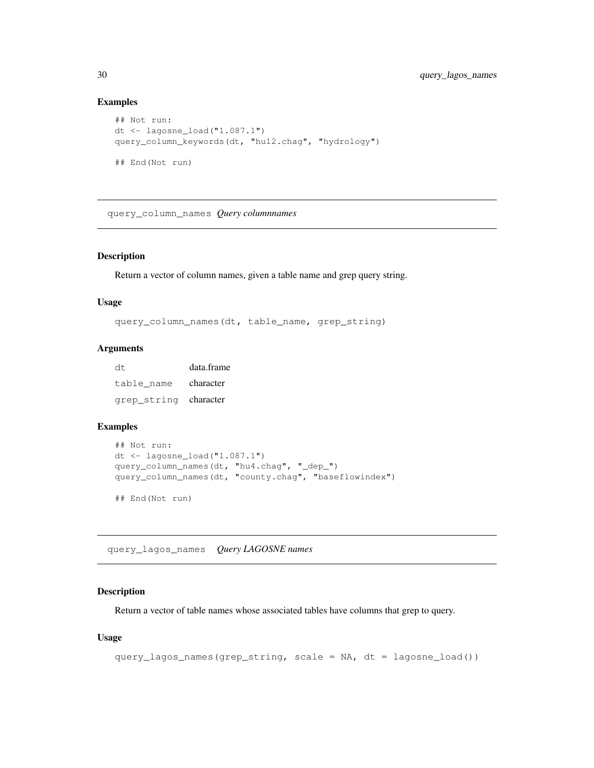# Examples

```
## Not run:
dt \leq lagosne load("1.087.1")
query_column_keywords(dt, "hu12.chag", "hydrology")
## End(Not run)
```
query\_column\_names *Query columnnames*

# Description

Return a vector of column names, given a table name and grep query string.

#### Usage

query\_column\_names(dt, table\_name, grep\_string)

#### Arguments

| dt.                   | data.frame |
|-----------------------|------------|
| table name            | character  |
| grep_string character |            |

# Examples

```
## Not run:
dt \le lagosne_load("1.087.1")
query_column_names(dt, "hu4.chag", "_dep_")
query_column_names(dt, "county.chag", "baseflowindex")
## End(Not run)
```
query\_lagos\_names *Query LAGOSNE names*

# Description

Return a vector of table names whose associated tables have columns that grep to query.

# Usage

```
query_lagos_names(grep_string, scale = NA, dt = lagosne_load())
```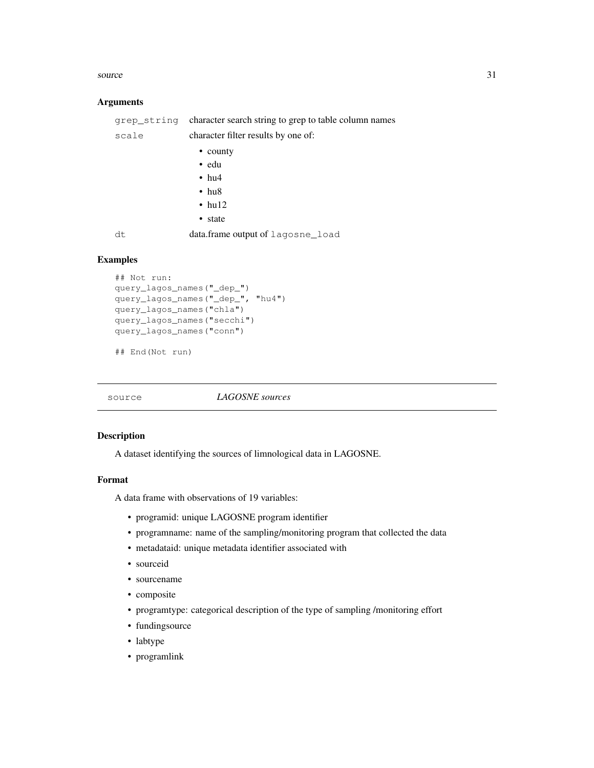#### source 31

#### Arguments

|       | grep_string character search string to grep to table column names |  |
|-------|-------------------------------------------------------------------|--|
| scale | character filter results by one of:                               |  |
|       | • county                                                          |  |
|       | $\bullet$ edu                                                     |  |
|       | $\cdot$ hu <sub>4</sub>                                           |  |
|       | $\cdot$ hu <sub>8</sub>                                           |  |
|       | $\cdot$ hul2                                                      |  |
|       | • state                                                           |  |
| dt    | data.frame output of lagosne load                                 |  |

#### Examples

```
## Not run:
query_lagos_names("_dep_")
query_lagos_names("_dep_", "hu4")
query_lagos_names("chla")
query_lagos_names("secchi")
query_lagos_names("conn")
```
## End(Not run)

source *LAGOSNE sources*

#### Description

A dataset identifying the sources of limnological data in LAGOSNE.

# Format

A data frame with observations of 19 variables:

- programid: unique LAGOSNE program identifier
- programname: name of the sampling/monitoring program that collected the data
- metadataid: unique metadata identifier associated with
- sourceid
- sourcename
- composite
- programtype: categorical description of the type of sampling /monitoring effort
- fundingsource
- labtype
- programlink